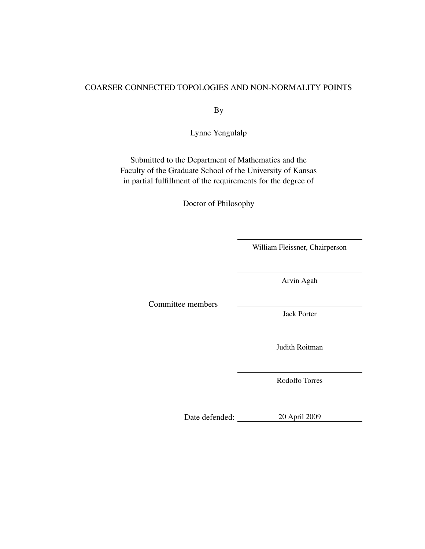#### <span id="page-0-0"></span>COARSER CONNECTED TOPOLOGIES AND NON-NORMALITY POINTS

By

Lynne Yengulalp

Submitted to the Department of Mathematics and the Faculty of the Graduate School of the University of Kansas in partial fulfillment of the requirements for the degree of

Doctor of Philosophy

William Fleissner, Chairperson

Arvin Agah

Committee members

Jack Porter

Judith Roitman

Rodolfo Torres

Date defended: 20 April 2009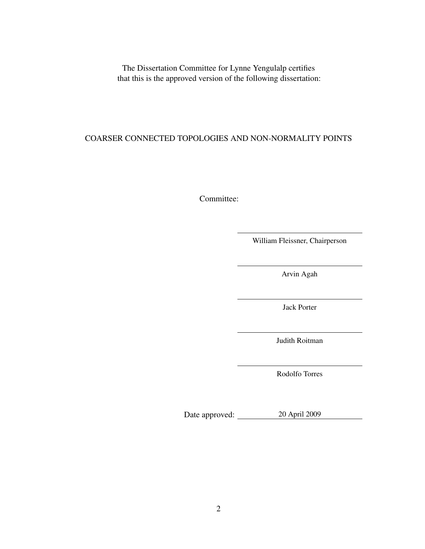The Dissertation Committee for Lynne Yengulalp certifies that this is the approved version of the following dissertation:

### COARSER CONNECTED TOPOLOGIES AND NON-NORMALITY POINTS

Committee:

William Fleissner, Chairperson

Arvin Agah

Jack Porter

Judith Roitman

Rodolfo Torres

Date approved: 20 April 2009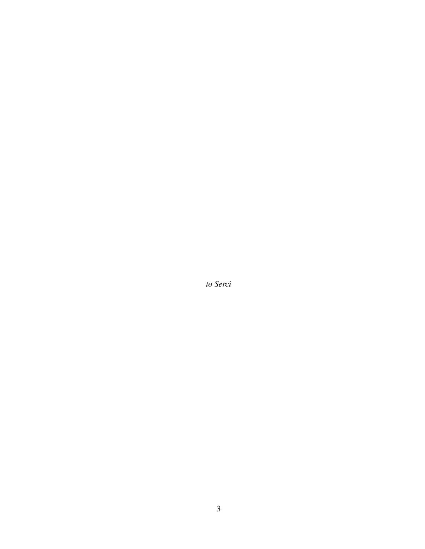*to Serci*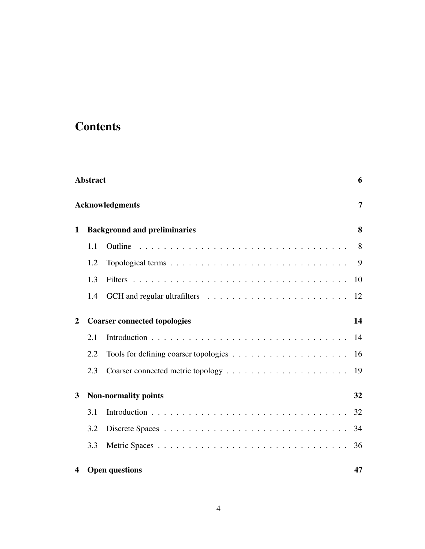# **Contents**

| <b>Abstract</b>        |                                     |                                                                                   |    |  |
|------------------------|-------------------------------------|-----------------------------------------------------------------------------------|----|--|
| <b>Acknowledgments</b> |                                     |                                                                                   |    |  |
| $\mathbf{1}$           | <b>Background and preliminaries</b> |                                                                                   |    |  |
|                        | 1.1                                 | Outline                                                                           | 8  |  |
|                        | 1.2                                 |                                                                                   | 9  |  |
|                        | 1.3                                 |                                                                                   | 10 |  |
|                        | 1.4                                 |                                                                                   | 12 |  |
| $\mathbf{2}$           |                                     | <b>Coarser connected topologies</b>                                               | 14 |  |
|                        | 2.1                                 |                                                                                   | 14 |  |
|                        | 2.2                                 | Tools for defining coarser topologies $\dots \dots \dots \dots \dots \dots \dots$ | 16 |  |
|                        | 2.3                                 |                                                                                   | 19 |  |
| 3                      |                                     | <b>Non-normality points</b>                                                       | 32 |  |
|                        | 3.1                                 |                                                                                   | 32 |  |
|                        | 3.2                                 |                                                                                   | 34 |  |
|                        | 3.3                                 |                                                                                   | 36 |  |
| 4                      |                                     | <b>Open questions</b>                                                             | 47 |  |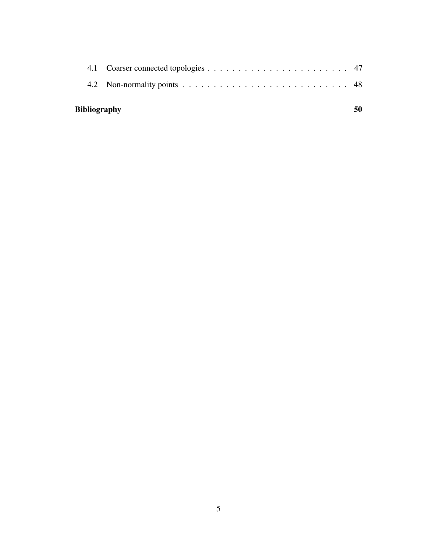| <b>Bibliography</b> |  |  |
|---------------------|--|--|
|                     |  |  |
|                     |  |  |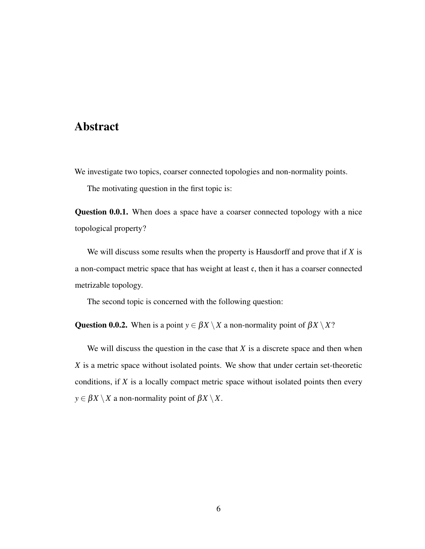### <span id="page-5-0"></span>Abstract

We investigate two topics, coarser connected topologies and non-normality points.

The motivating question in the first topic is:

Question 0.0.1. When does a space have a coarser connected topology with a nice topological property?

We will discuss some results when the property is Hausdorff and prove that if *X* is a non-compact metric space that has weight at least c, then it has a coarser connected metrizable topology.

The second topic is concerned with the following question:

Question 0.0.2. When is a point  $y \in \beta X \setminus X$  a non-normality point of  $\beta X \setminus X$ ?

We will discuss the question in the case that  $X$  is a discrete space and then when *X* is a metric space without isolated points. We show that under certain set-theoretic conditions, if *X* is a locally compact metric space without isolated points then every  $y \in \beta X \setminus X$  a non-normality point of  $\beta X \setminus X$ .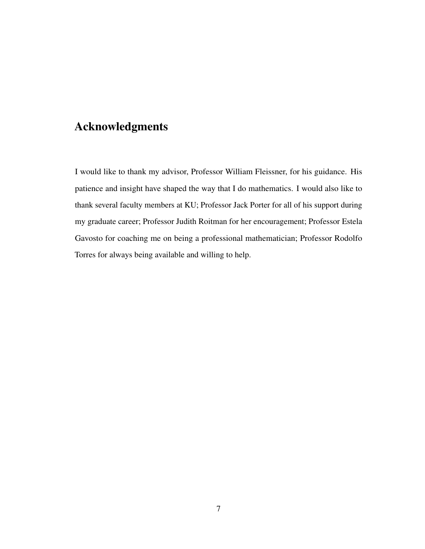# <span id="page-6-0"></span>Acknowledgments

I would like to thank my advisor, Professor William Fleissner, for his guidance. His patience and insight have shaped the way that I do mathematics. I would also like to thank several faculty members at KU; Professor Jack Porter for all of his support during my graduate career; Professor Judith Roitman for her encouragement; Professor Estela Gavosto for coaching me on being a professional mathematician; Professor Rodolfo Torres for always being available and willing to help.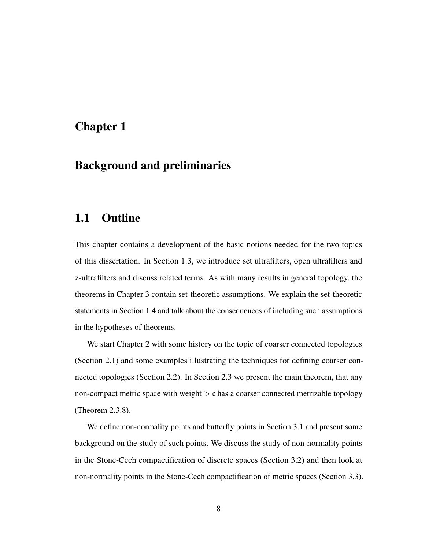### <span id="page-7-0"></span>Chapter 1

### Background and preliminaries

### <span id="page-7-1"></span>1.1 Outline

This chapter contains a development of the basic notions needed for the two topics of this dissertation. In Section [1.3,](#page-9-0) we introduce set ultrafilters, open ultrafilters and z-ultrafilters and discuss related terms. As with many results in general topology, the theorems in Chapter [3](#page-31-0) contain set-theoretic assumptions. We explain the set-theoretic statements in Section [1.4](#page-11-0) and talk about the consequences of including such assumptions in the hypotheses of theorems.

We start Chapter [2](#page-13-0) with some history on the topic of coarser connected topologies (Section [2.1\)](#page-13-1) and some examples illustrating the techniques for defining coarser connected topologies (Section [2.2\)](#page-15-0). In Section [2.3](#page-18-0) we present the main theorem, that any non-compact metric space with weight  $\geq c$  has a coarser connected metrizable topology (Theorem [2.3.8\)](#page-26-0).

We define non-normality points and butterfly points in Section [3.1](#page-31-1) and present some background on the study of such points. We discuss the study of non-normality points in the Stone-Cech compactification of discrete spaces (Section [3.2\)](#page-33-0) and then look at non-normality points in the Stone-Cech compactification of metric spaces (Section [3.3\)](#page-35-0).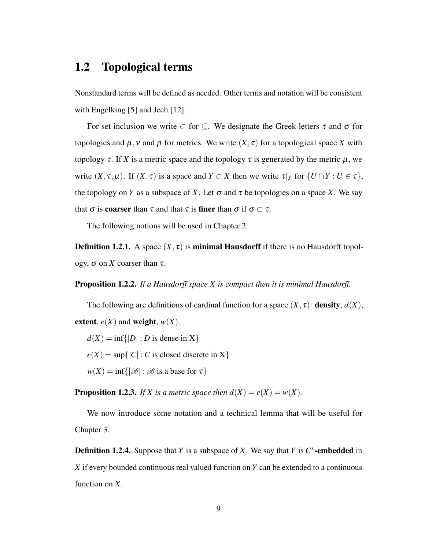### <span id="page-8-1"></span><span id="page-8-0"></span>1.2 Topological terms

Nonstandard terms will be defined as needed. Other terms and notation will be consistent with Engelking [\[5\]](#page-49-0) and Jech [\[12\]](#page-50-0).

For set inclusion we write  $\subset$  for  $\subseteq$ . We designate the Greek letters  $\tau$  and  $\sigma$  for topologies and  $\mu$ , v and  $\rho$  for metrics. We write  $(X, \tau)$  for a topological space X with topology  $\tau$ . If *X* is a metric space and the topology  $\tau$  is generated by the metric  $\mu$ , we write  $(X, \tau, \mu)$ . If  $(X, \tau)$  is a space and  $Y \subset X$  then we write  $\tau|_Y$  for  $\{U \cap Y : U \in \tau\}$ , the topology on *Y* as a subspace of *X*. Let  $\sigma$  and  $\tau$  be topologies on a space *X*. We say that  $\sigma$  is **coarser** than  $\tau$  and that  $\tau$  is **finer** than  $\sigma$  if  $\sigma \subset \tau$ .

The following notions will be used in Chapter [2.](#page-13-0)

**Definition 1.2.1.** A space  $(X, \tau)$  is **minimal Hausdorff** if there is no Hausdorff topology, σ on *X* coarser than τ.

Proposition 1.2.2. *If a Hausdorff space X is compact then it is minimal Hausdorff.*

The following are definitions of cardinal function for a space  $(X, \tau)$ : **density**,  $d(X)$ , extent,  $e(X)$  and weight,  $w(X)$ .

 $d(X) = \inf\{|D| : D$  is dense in X $\}$  $e(X) = \sup\{|C| : C$  is closed discrete in X $\}$  $w(X) = \inf\{|\mathcal{B}| : \mathcal{B}$  is a base for  $\tau\}$ 

**Proposition 1.2.3.** *If X* is a metric space then  $d(X) = e(X) = w(X)$ .

We now introduce some notation and a technical lemma that will be useful for Chapter [3.](#page-31-0)

**Definition 1.2.4.** Suppose that *Y* is a subspace of *X*. We say that *Y* is  $C^*$ -embedded in *X* if every bounded continuous real valued function on *Y* can be extended to a continuous function on *X*.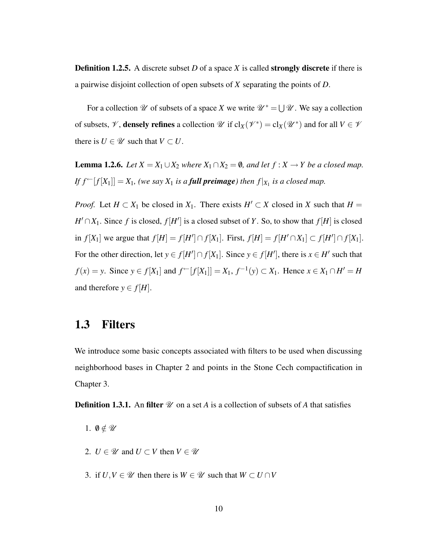**Definition 1.2.5.** A discrete subset *D* of a space *X* is called **strongly discrete** if there is a pairwise disjoint collection of open subsets of *X* separating the points of *D*.

For a collection  $\mathscr U$  of subsets of a space *X* we write  $\mathscr U^* = \bigcup \mathscr U$ . We say a collection of subsets,  $\mathscr V$ , **densely refines** a collection  $\mathscr U$  if  $cl_X(\mathscr V^*) = cl_X(\mathscr U^*)$  and for all  $V \in \mathscr V$ there is  $U \in \mathcal{U}$  such that  $V \subset U$ .

<span id="page-9-1"></span>**Lemma 1.2.6.** *Let*  $X = X_1 ∪ X_2$  *where*  $X_1 ∩ X_2 = ∅$ *, and let*  $f : X → Y$  *be a closed map. If*  $f^{\leftarrow}[f[X_1]] = X_1$ , (we say  $X_1$  *is a full preimage) then*  $f|_{X_1}$  *is a closed map.* 

*Proof.* Let  $H \subset X_1$  be closed in  $X_1$ . There exists  $H' \subset X$  closed in *X* such that  $H =$  $H' \cap X_1$ . Since *f* is closed,  $f[H']$  is a closed subset of *Y*. So, to show that  $f[H]$  is closed in  $f[X_1]$  we argue that  $f[H] = f[H'] \cap f[X_1]$ . First,  $f[H] = f[H' \cap X_1] \subset f[H'] \cap f[X_1]$ . For the other direction, let  $y \in f[H'] \cap f[X_1]$ . Since  $y \in f[H']$ , there is  $x \in H'$  such that *f*(*x*) = *y*. Since *y* ∈ *f*[*X*<sub>1</sub>] and *f*<sup>←</sup>[*f*[*X*<sub>1</sub>]] = *X*<sub>1</sub>, *f*<sup>-1</sup>(*y*) ⊂ *X*<sub>1</sub>. Hence *x* ∈ *X*<sub>1</sub> ∩ *H*<sup> $'$ </sup> = *H* and therefore  $y \in f[H]$ .

### <span id="page-9-0"></span>1.3 Filters

We introduce some basic concepts associated with filters to be used when discussing neighborhood bases in Chapter [2](#page-13-0) and points in the Stone Cech compactification in Chapter [3.](#page-31-0)

**Definition 1.3.1.** An filter  $\mathcal{U}$  on a set *A* is a collection of subsets of *A* that satisfies

- 1.  $\emptyset \notin \mathscr{U}$
- 2.  $U \in \mathcal{U}$  and  $U \subset V$  then  $V \in \mathcal{U}$
- 3. if  $U, V \in \mathcal{U}$  then there is  $W \in \mathcal{U}$  such that  $W \subset U \cap V$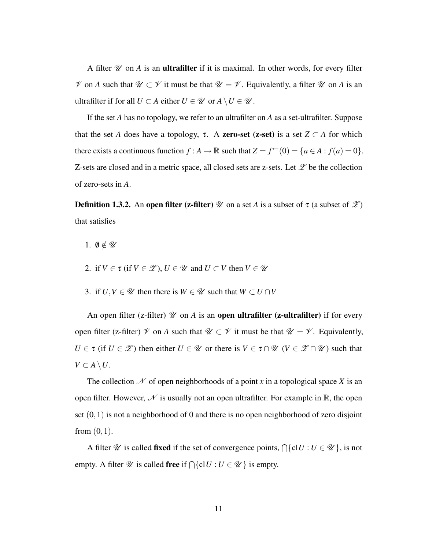A filter  $\mathcal U$  on  $A$  is an **ultrafilter** if it is maximal. In other words, for every filter  $\mathscr V$  on *A* such that  $\mathscr U \subset \mathscr V$  it must be that  $\mathscr U = \mathscr V$ . Equivalently, a filter  $\mathscr U$  on *A* is an ultrafilter if for all  $U \subset A$  either  $U \in \mathcal{U}$  or  $A \setminus U \in \mathcal{U}$ .

If the set *A* has no topology, we refer to an ultrafilter on *A* as a set-ultrafilter. Suppose that the set *A* does have a topology,  $\tau$ . A **zero-set (z-set)** is a set  $Z \subset A$  for which there exists a continuous function  $f : A \to \mathbb{R}$  such that  $Z = f^{\leftarrow}(0) = \{a \in A : f(a) = 0\}.$ Z-sets are closed and in a metric space, all closed sets are z-sets. Let  $\mathscr Z$  be the collection of zero-sets in *A*.

**Definition 1.3.2.** An **open filter (z-filter)** W on a set A is a subset of  $\tau$  (a subset of  $\mathscr{Z}$ ) that satisfies

- 1.  $\emptyset \notin \mathscr{U}$
- 2. if  $V \in \tau$  (if  $V \in \mathcal{Z}$ ),  $U \in \mathcal{U}$  and  $U \subset V$  then  $V \in \mathcal{U}$
- 3. if  $U, V \in \mathcal{U}$  then there is  $W \in \mathcal{U}$  such that  $W \subset U \cap V$

An open filter (z-filter)  $\mathcal U$  on  $A$  is an **open ultrafilter** (z-ultrafilter) if for every open filter (z-filter)  $\mathcal V$  on A such that  $\mathcal U \subset \mathcal V$  it must be that  $\mathcal U = \mathcal V$ . Equivalently,  $U \in \tau$  (if  $U \in \mathcal{Z}$ ) then either  $U \in \mathcal{U}$  or there is  $V \in \tau \cap \mathcal{U}$  ( $V \in \mathcal{Z} \cap \mathcal{U}$ ) such that *V* ⊂ *A*  $\setminus$  *U*.

The collection  $\mathcal N$  of open neighborhoods of a point *x* in a topological space *X* is an open filter. However,  $\mathcal N$  is usually not an open ultrafilter. For example in  $\mathbb R$ , the open set  $(0,1)$  is not a neighborhood of 0 and there is no open neighborhood of zero disjoint from  $(0,1)$ .

A filter  $\mathscr U$  is called **fixed** if the set of convergence points,  $\bigcap \{ \text{cl} U : U \in \mathscr U \}$ , is not empty. A filter  $\mathscr U$  is called **free** if  $\bigcap \{ \text{cl } U : U \in \mathscr U \}$  is empty.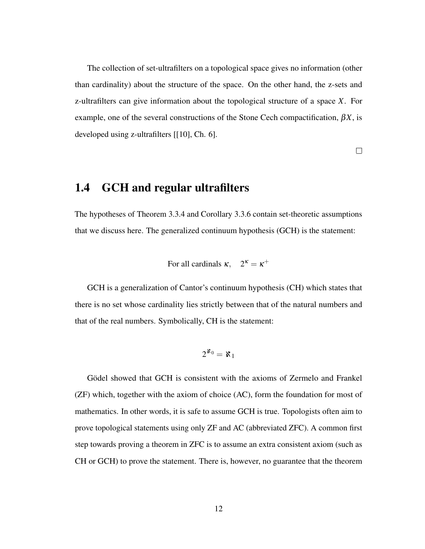<span id="page-11-1"></span>The collection of set-ultrafilters on a topological space gives no information (other than cardinality) about the structure of the space. On the other hand, the z-sets and z-ultrafilters can give information about the topological structure of a space *X*. For example, one of the several constructions of the Stone Cech compactification,  $\beta X$ , is developed using z-ultrafilters [[\[10\]](#page-49-1), Ch. 6].

 $\Box$ 

### <span id="page-11-0"></span>1.4 GCH and regular ultrafilters

The hypotheses of Theorem [3.3.4](#page-39-0) and Corollary [3.3.6](#page-45-0) contain set-theoretic assumptions that we discuss here. The generalized continuum hypothesis (GCH) is the statement:

For all cardinals  $\kappa$ ,  $2^{\kappa} = \kappa^+$ 

GCH is a generalization of Cantor's continuum hypothesis (CH) which states that there is no set whose cardinality lies strictly between that of the natural numbers and that of the real numbers. Symbolically, CH is the statement:

$$
2^{\aleph_0}=\aleph_1
$$

Gödel showed that GCH is consistent with the axioms of Zermelo and Frankel (ZF) which, together with the axiom of choice (AC), form the foundation for most of mathematics. In other words, it is safe to assume GCH is true. Topologists often aim to prove topological statements using only ZF and AC (abbreviated ZFC). A common first step towards proving a theorem in ZFC is to assume an extra consistent axiom (such as CH or GCH) to prove the statement. There is, however, no guarantee that the theorem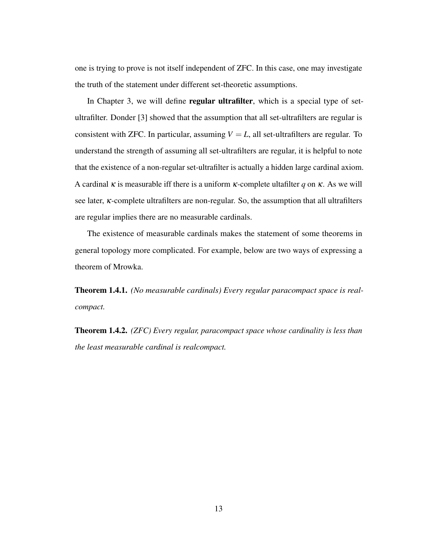<span id="page-12-0"></span>one is trying to prove is not itself independent of ZFC. In this case, one may investigate the truth of the statement under different set-theoretic assumptions.

In Chapter 3, we will define **regular ultrafilter**, which is a special type of setultrafilter. Donder [\[3\]](#page-49-2) showed that the assumption that all set-ultrafilters are regular is consistent with ZFC. In particular, assuming  $V = L$ , all set-ultrafilters are regular. To understand the strength of assuming all set-ultrafilters are regular, it is helpful to note that the existence of a non-regular set-ultrafilter is actually a hidden large cardinal axiom. A cardinal  $\kappa$  is measurable iff there is a uniform  $\kappa$ -complete ultafilter q on  $\kappa$ . As we will see later, κ-complete ultrafilters are non-regular. So, the assumption that all ultrafilters are regular implies there are no measurable cardinals.

The existence of measurable cardinals makes the statement of some theorems in general topology more complicated. For example, below are two ways of expressing a theorem of Mrowka.

Theorem 1.4.1. *(No measurable cardinals) Every regular paracompact space is realcompact.*

Theorem 1.4.2. *(ZFC) Every regular, paracompact space whose cardinality is less than the least measurable cardinal is realcompact.*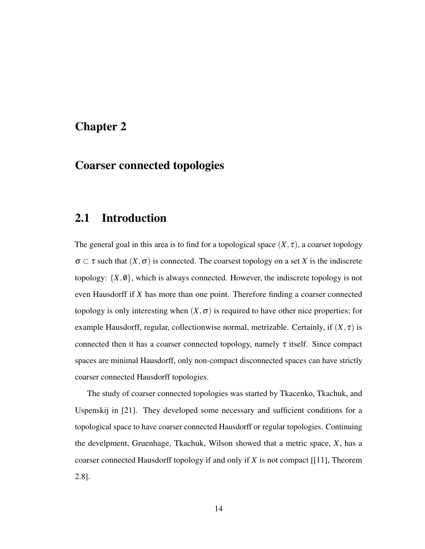### <span id="page-13-2"></span><span id="page-13-0"></span>Chapter 2

# Coarser connected topologies

### <span id="page-13-1"></span>2.1 Introduction

The general goal in this area is to find for a topological space  $(X, \tau)$ , a coarser topology  $\sigma \subset \tau$  such that  $(X, \sigma)$  is connected. The coarsest topology on a set X is the indiscrete topology:  $\{X, \emptyset\}$ , which is always connected. However, the indiscrete topology is not even Hausdorff if *X* has more than one point. Therefore finding a coarser connected topology is only interesting when  $(X, \sigma)$  is required to have other nice properties; for example Hausdorff, regular, collectionwise normal, metrizable. Certainly, if  $(X, \tau)$  is connected then it has a coarser connected topology, namely  $\tau$  itself. Since compact spaces are minimal Hausdorff, only non-compact disconnected spaces can have strictly coarser connected Hausdorff topologies.

The study of coarser connected topologies was started by Tkacenko, Tkachuk, and Uspenskij in [\[21\]](#page-50-1). They developed some necessary and sufficient conditions for a topological space to have coarser connected Hausdorff or regular topologies. Continuing the develpment, Gruenhage, Tkachuk, Wilson showed that a metric space, *X*, has a coarser connected Hausdorff topology if and only if *X* is not compact [[\[11\]](#page-49-3), Theorem 2.8].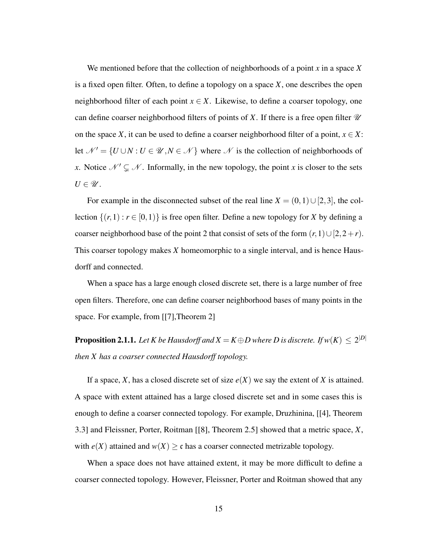<span id="page-14-0"></span>We mentioned before that the collection of neighborhoods of a point *x* in a space *X* is a fixed open filter. Often, to define a topology on a space *X*, one describes the open neighborhood filter of each point  $x \in X$ . Likewise, to define a coarser topology, one can define coarser neighborhood filters of points of X. If there is a free open filter  $\mathcal U$ on the space *X*, it can be used to define a coarser neighborhood filter of a point,  $x \in X$ : let  $\mathcal{N}' = \{U \cup N : U \in \mathcal{U}, N \in \mathcal{N}\}\$  where  $\mathcal{N}$  is the collection of neighborhoods of *x*. Notice  $\mathcal{N}' \subsetneq \mathcal{N}$ . Informally, in the new topology, the point *x* is closer to the sets  $U \in \mathscr{U}$ .

For example in the disconnected subset of the real line  $X = (0,1) \cup [2,3]$ , the collection  $\{(r,1) : r \in [0,1)\}$  is free open filter. Define a new topology for *X* by defining a coarser neighborhood base of the point 2 that consist of sets of the form  $(r,1) \cup [2,2+r)$ . This coarser topology makes *X* homeomorphic to a single interval, and is hence Hausdorff and connected.

When a space has a large enough closed discrete set, there is a large number of free open filters. Therefore, one can define coarser neighborhood bases of many points in the space. For example, from [[\[7\]](#page-49-4),Theorem 2]

**Proposition 2.1.1.** Let  $K$  be Hausdorff and  $X = K \oplus D$  where  $D$  is discrete. If  $w(K) \leq 2^{|D|}$ *then X has a coarser connected Hausdorff topology.*

If a space, *X*, has a closed discrete set of size  $e(X)$  we say the extent of *X* is attained. A space with extent attained has a large closed discrete set and in some cases this is enough to define a coarser connected topology. For example, Druzhinina, [[\[4\]](#page-49-5), Theorem 3.3] and Fleissner, Porter, Roitman [[\[8\]](#page-49-6), Theorem 2.5] showed that a metric space, *X*, with  $e(X)$  attained and  $w(X) \ge c$  has a coarser connected metrizable topology.

When a space does not have attained extent, it may be more difficult to define a coarser connected topology. However, Fleissner, Porter and Roitman showed that any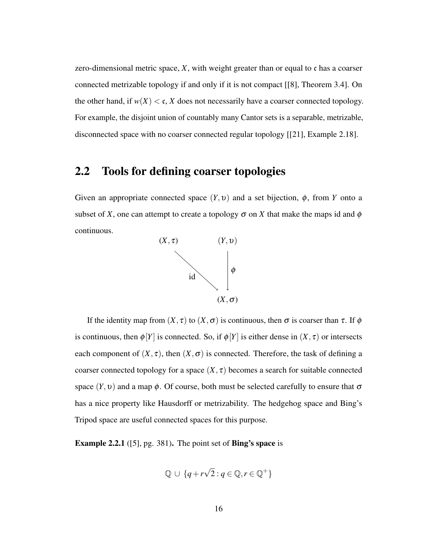<span id="page-15-1"></span>zero-dimensional metric space,  $X$ , with weight greater than or equal to  $\mathfrak c$  has a coarser connected metrizable topology if and only if it is not compact [[\[8\]](#page-49-6), Theorem 3.4]. On the other hand, if  $w(X) < c$ , *X* does not necessarily have a coarser connected topology. For example, the disjoint union of countably many Cantor sets is a separable, metrizable, disconnected space with no coarser connected regular topology [[\[21\]](#page-50-1), Example 2.18].

# <span id="page-15-0"></span>2.2 Tools for defining coarser topologies

Given an appropriate connected space  $(Y, v)$  and a set bijection,  $\phi$ , from *Y* onto a subset of *X*, one can attempt to create a topology  $\sigma$  on *X* that make the maps id and  $\phi$ continuous.



If the identity map from  $(X, \tau)$  to  $(X, \sigma)$  is continuous, then  $\sigma$  is coarser than  $\tau$ . If  $\phi$ is continuous, then  $\phi[Y]$  is connected. So, if  $\phi[Y]$  is either dense in  $(X, \tau)$  or intersects each component of  $(X, \tau)$ , then  $(X, \sigma)$  is connected. Therefore, the task of defining a coarser connected topology for a space  $(X, \tau)$  becomes a search for suitable connected space  $(Y, v)$  and a map  $\phi$ . Of course, both must be selected carefully to ensure that  $\sigma$ has a nice property like Hausdorff or metrizability. The hedgehog space and Bing's Tripod space are useful connected spaces for this purpose.

Example 2.2.1 ([\[5\]](#page-49-0), pg. 381). The point set of Bing's space is

$$
\mathbb{Q} \cup \{q + r\sqrt{2} : q \in \mathbb{Q}, r \in \mathbb{Q}^+\}
$$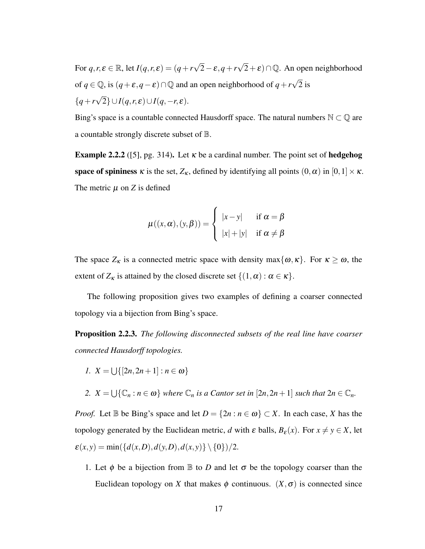<span id="page-16-1"></span>For  $q, r, \varepsilon \in \mathbb{R}$ , let  $I(q, r, \varepsilon) = (q + r\sqrt{r})$ 2−ε,*q*+*r*  $\sqrt{2} + \varepsilon$ )  $\cap$ Q. An open neighborhood of  $q \in \mathbb{Q}$ , is  $(q + \varepsilon, q - \varepsilon) \cap \mathbb{Q}$  and an open neighborhood of  $q + r\sqrt{q}$ 2 is {*q*+*r* √  $2\} \cup I(q,r,\varepsilon) \cup I(q,-r,\varepsilon).$ 

Bing's space is a countable connected Hausdorff space. The natural numbers  $\mathbb{N} \subset \mathbb{Q}$  are a countable strongly discrete subset of B.

**Example 2.2.2** ([\[5\]](#page-49-0), pg. 314). Let  $\kappa$  be a cardinal number. The point set of **hedgehog space of spininess**  $\kappa$  is the set,  $Z_{\kappa}$ , defined by identifying all points  $(0, \alpha)$  in  $[0,1] \times \kappa$ . The metric  $\mu$  on  $\chi$  is defined

$$
\mu((x,\alpha),(y,\beta)) = \begin{cases} |x-y| & \text{if } \alpha = \beta \\ |x|+|y| & \text{if } \alpha \neq \beta \end{cases}
$$

The space  $Z_K$  is a connected metric space with density max $\{\omega, \kappa\}$ . For  $\kappa \ge \omega$ , the extent of  $Z_{\kappa}$  is attained by the closed discrete set  $\{(1,\alpha): \alpha \in \kappa\}.$ 

The following proposition gives two examples of defining a coarser connected topology via a bijection from Bing's space.

<span id="page-16-0"></span>Proposition 2.2.3. *The following disconnected subsets of the real line have coarser connected Hausdorff topologies.*

$$
I. \ \ X = \bigcup \{ [2n, 2n+1] : n \in \omega \}
$$

2.  $X = \bigcup \{ \mathbb{C}_n : n \in \omega \}$  *where*  $\mathbb{C}_n$  *is a Cantor set in*  $[2n, 2n+1]$  *such that*  $2n \in \mathbb{C}_n$ *.* 

*Proof.* Let  $\mathbb B$  be Bing's space and let  $D = \{2n : n \in \omega\} \subset X$ . In each case, *X* has the topology generated by the Euclidean metric, *d* with  $\varepsilon$  balls,  $B_{\varepsilon}(x)$ . For  $x \neq y \in X$ , let  $\varepsilon(x, y) = \min(\{d(x, D), d(y, D), d(x, y)\} \setminus \{0\})/2.$ 

1. Let  $\phi$  be a bijection from  $\mathbb B$  to *D* and let  $\sigma$  be the topology coarser than the Euclidean topology on *X* that makes  $\phi$  continuous.  $(X, \sigma)$  is connected since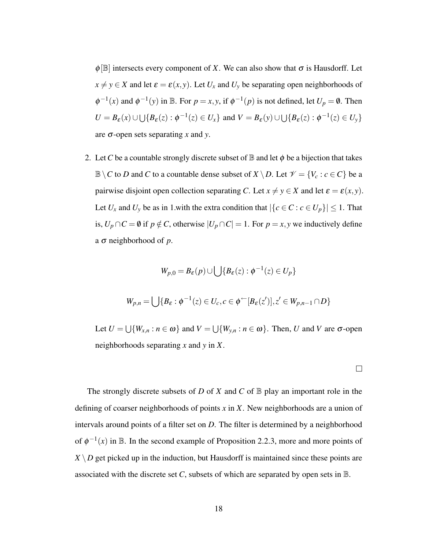$\phi$ [B] intersects every component of *X*. We can also show that  $\sigma$  is Hausdorff. Let  $x \neq y \in X$  and let  $\varepsilon = \varepsilon(x, y)$ . Let  $U_x$  and  $U_y$  be separating open neighborhoods of  $\phi^{-1}(x)$  and  $\phi^{-1}(y)$  in B. For  $p = x, y$ , if  $\phi^{-1}(p)$  is not defined, let  $U_p = \emptyset$ . Then  $U = B_{\varepsilon}(x) \cup \bigcup \{ B_{\varepsilon}(z) : \phi^{-1}(z) \in U_x \}$  and  $V = B_{\varepsilon}(y) \cup \bigcup \{ B_{\varepsilon}(z) : \phi^{-1}(z) \in U_y \}$ are σ-open sets separating *x* and *y*.

2. Let *C* be a countable strongly discrete subset of  $\mathbb B$  and let  $\phi$  be a bijection that takes  $\mathbb{B}\setminus C$  to *D* and *C* to a countable dense subset of  $X\setminus D$ . Let  $\mathcal{V} = \{V_c : c \in C\}$  be a pairwise disjoint open collection separating *C*. Let  $x \neq y \in X$  and let  $\varepsilon = \varepsilon(x, y)$ . Let  $U_x$  and  $U_y$  be as in 1.with the extra condition that  $|\{c \in C : c \in U_p\}| \leq 1$ . That is, *U*<sup>*p*</sup> ∩ *C* =  $\emptyset$  if *p* ∉ *C*, otherwise  $|U_p ∩ C| = 1$ . For *p* = *x*, *y* we inductively define a σ neighborhood of *p*.

$$
W_{p,0} = B_{\varepsilon}(p) \cup \bigcup \{ B_{\varepsilon}(z) : \phi^{-1}(z) \in U_p \}
$$
  

$$
W_{p,n} = \bigcup \{ B_{\varepsilon} : \phi^{-1}(z) \in U_c, c \in \phi^{\leftarrow}[B_{\varepsilon}(z')] , z' \in W_{p,n-1} \cap D \}
$$

Let  $U = \bigcup \{W_{x,n} : n \in \omega\}$  and  $V = \bigcup \{W_{y,n} : n \in \omega\}$ . Then, *U* and *V* are  $\sigma$ -open neighborhoods separating *x* and *y* in *X*.

 $\Box$ 

The strongly discrete subsets of *D* of *X* and *C* of B play an important role in the defining of coarser neighborhoods of points *x* in *X*. New neighborhoods are a union of intervals around points of a filter set on *D*. The filter is determined by a neighborhood of  $\phi^{-1}(x)$  in B. In the second example of Proposition [2.2.3,](#page-16-0) more and more points of  $X \setminus D$  get picked up in the induction, but Hausdorff is maintained since these points are associated with the discrete set *C*, subsets of which are separated by open sets in B.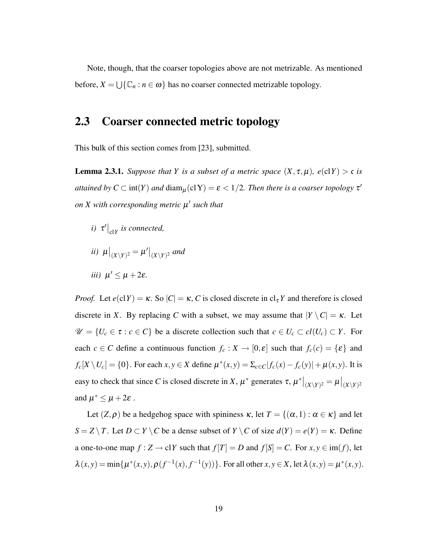<span id="page-18-2"></span>Note, though, that the coarser topologies above are not metrizable. As mentioned before,  $X = \bigcup \{ \mathbb{C}_n : n \in \omega \}$  has no coarser connected metrizable topology.

### <span id="page-18-0"></span>2.3 Coarser connected metric topology

This bulk of this section comes from [\[23\]](#page-50-2), submitted.

<span id="page-18-1"></span>**Lemma 2.3.1.** *Suppose that Y is a subset of a metric space*  $(X, \tau, \mu)$ *, e*(cl*Y*) > c *is attained by*  $C \subset \text{int}(Y)$  *and*  $\text{diam}_{\mu}(\text{cl }Y) = \varepsilon < 1/2$ . *Then there is a coarser topology*  $\tau'$ *on X with corresponding metric* µ 0 *such that*

- *i*)  $\tau' \big|_{\text{cl}Y}$  *is connected,*
- $\int u\big|_{(X\setminus Y)^2} = \mu'\big|_{(X\setminus Y)^2}$  and
- *iii*)  $\mu' \leq \mu + 2\varepsilon$ .

*Proof.* Let  $e(clY) = \kappa$ . So  $|C| = \kappa$ , *C* is closed discrete in  $cl_{\tau}Y$  and therefore is closed discrete in *X*. By replacing *C* with a subset, we may assume that  $|Y \setminus C| = \kappa$ . Let  $\mathcal{U} = \{U_c \in \tau : c \in C\}$  be a discrete collection such that  $c \in U_c \subset cl(U_c) \subset Y$ . For each  $c \in C$  define a continuous function  $f_c : X \to [0, \varepsilon]$  such that  $f_c(c) = {\varepsilon}$  and  $f_c[X \setminus U_c] = \{0\}$ . For each  $x, y \in X$  define  $\mu^*(x, y) = \sum_{c \in C} |f_c(x) - f_c(y)| + \mu(x, y)$ . It is easy to check that since *C* is closed discrete in *X*,  $\mu^*$  generates  $\tau$ ,  $\mu^*|_{(X \setminus Y)^2} = \mu|_{(X \setminus Y)^2}$ and  $\mu^* \leq \mu + 2\varepsilon$ .

Let  $(Z, \rho)$  be a hedgehog space with spininess  $\kappa$ , let  $T = \{(\alpha, 1) : \alpha \in \kappa\}$  and let *S* = *Z* \ *T*. Let *D*  $\subset$  *Y* \ *C* be a dense subset of *Y* \ *C* of size  $d(Y) = e(Y) = \kappa$ . Define a one-to-one map  $f : Z \to \text{cl} Y$  such that  $f[T] = D$  and  $f[S] = C$ . For  $x, y \in \text{im}(f)$ , let  $\lambda(x, y) = \min\{\mu^*(x, y), \rho(f^{-1}(x), f^{-1}(y))\}$ . For all other  $x, y \in X$ , let  $\lambda(x, y) = \mu^*(x, y)$ .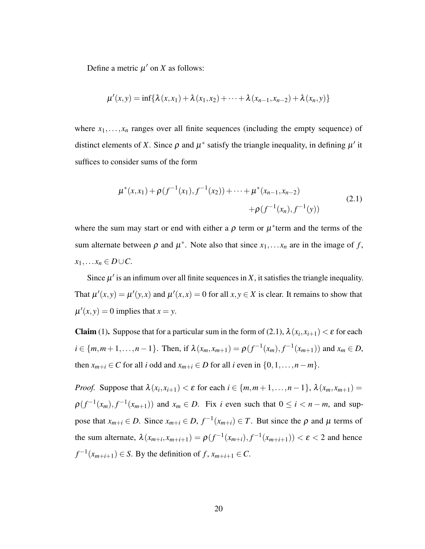Define a metric  $\mu'$  on *X* as follows:

$$
\mu'(x,y) = \inf \{ \lambda(x,x_1) + \lambda(x_1,x_2) + \cdots + \lambda(x_{n-1},x_{n-2}) + \lambda(x_n,y) \}
$$

where  $x_1, \ldots, x_n$  ranges over all finite sequences (including the empty sequence) of distinct elements of *X*. Since  $\rho$  and  $\mu^*$  satisfy the triangle inequality, in defining  $\mu'$  it suffices to consider sums of the form

<span id="page-19-0"></span>
$$
\mu^*(x, x_1) + \rho(f^{-1}(x_1), f^{-1}(x_2)) + \dots + \mu^*(x_{n-1}, x_{n-2})
$$
  
+ 
$$
\rho(f^{-1}(x_n), f^{-1}(y))
$$
 (2.1)

where the sum may start or end with either a  $\rho$  term or  $\mu^*$  term and the terms of the sum alternate between  $\rho$  and  $\mu^*$ . Note also that since  $x_1, \ldots, x_n$  are in the image of f,  $x_1, \ldots x_n \in D \cup C$ .

Since  $\mu'$  is an infimum over all finite sequences in X, it satisfies the triangle inequality. That  $\mu'(x, y) = \mu'(y, x)$  and  $\mu'(x, x) = 0$  for all  $x, y \in X$  is clear. It remains to show that  $\mu'(x, y) = 0$  implies that  $x = y$ .

**Claim** (1). Suppose that for a particular sum in the form of [\(2.1\)](#page-19-0),  $\lambda(x_i, x_{i+1}) < \varepsilon$  for each  $i \in \{m, m+1, \ldots, n-1\}$ . Then, if  $\lambda(x_m, x_{m+1}) = \rho(f^{-1}(x_m), f^{-1}(x_{m+1}))$  and  $x_m \in D$ , then  $x_{m+i} \in C$  for all *i* odd and  $x_{m+i} \in D$  for all *i* even in  $\{0,1,\ldots,n-m\}.$ 

*Proof.* Suppose that  $\lambda(x_i, x_{i+1}) < \varepsilon$  for each  $i \in \{m, m+1, \ldots, n-1\}$ ,  $\lambda(x_m, x_{m+1}) =$  $\rho(f^{-1}(x_m), f^{-1}(x_{m+1}))$  and  $x_m \in D$ . Fix *i* even such that  $0 \le i < n-m$ , and suppose that  $x_{m+i} \in D$ . Since  $x_{m+i} \in D$ ,  $f^{-1}(x_{m+i}) \in T$ . But since the  $\rho$  and  $\mu$  terms of the sum alternate,  $\lambda(x_{m+i}, x_{m+i+1}) = \rho(f^{-1}(x_{m+i}), f^{-1}(x_{m+i+1})) < \varepsilon < 2$  and hence  $f^{-1}(x_{m+i+1}) \in S$ . By the definition of *f*,  $x_{m+i+1} \in C$ .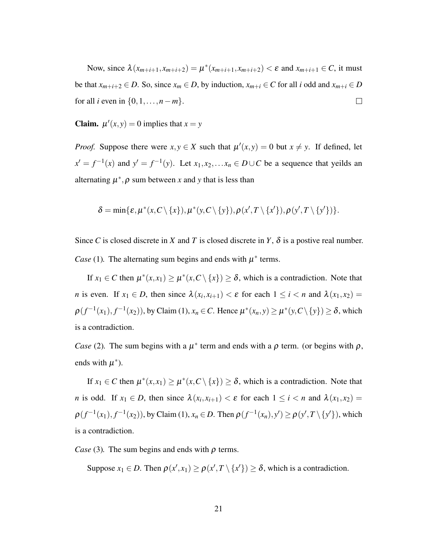Now, since  $\lambda(x_{m+i+1}, x_{m+i+2}) = \mu^*(x_{m+i+1}, x_{m+i+2}) < \varepsilon$  and  $x_{m+i+1} \in C$ , it must be that  $x_{m+i+2} \in D$ . So, since  $x_m \in D$ , by induction,  $x_{m+i} \in C$  for all *i* odd and  $x_{m+i} \in D$ for all *i* even in  $\{0, 1, ..., n-m\}$ .  $\Box$ 

**Claim.**  $\mu'(x, y) = 0$  implies that  $x = y$ 

*Proof.* Suppose there were  $x, y \in X$  such that  $\mu'(x, y) = 0$  but  $x \neq y$ . If defined, let  $x' = f^{-1}(x)$  and  $y' = f^{-1}(y)$ . Let  $x_1, x_2, \ldots, x_n \in D \cup C$  be a sequence that yeilds an alternating  $\mu^*$ ,  $\rho$  sum between x and y that is less than

 $\delta = \min\{\varepsilon, \mu^*(x, C \setminus \{x\}), \mu^*(y, C \setminus \{y\}), \rho(x', T \setminus \{x'\}), \rho(y', T \setminus \{y'\})\}.$ 

Since *C* is closed discrete in *X* and *T* is closed discrete in *Y*,  $\delta$  is a postive real number. *Case* (1). The alternating sum begins and ends with  $\mu^*$  terms.

If  $x_1 \in C$  then  $\mu^*(x, x_1) \ge \mu^*(x, C \setminus \{x\}) \ge \delta$ , which is a contradiction. Note that *n* is even. If  $x_1 \in D$ , then since  $\lambda(x_i, x_{i+1}) < \varepsilon$  for each  $1 \le i < n$  and  $\lambda(x_1, x_2) =$  $\rho(f^{-1}(x_1), f^{-1}(x_2))$ , by Claim (1),  $x_n \in C$ . Hence  $\mu^*(x_n, y) \ge \mu^*(y, C \setminus \{y\}) \ge \delta$ , which is a contradiction.

*Case* (2). The sum begins with a  $\mu^*$  term and ends with a  $\rho$  term. (or begins with  $\rho$ , ends with  $\mu^*$ ).

If  $x_1 \in C$  then  $\mu^*(x, x_1) \ge \mu^*(x, C \setminus \{x\}) \ge \delta$ , which is a contradiction. Note that *n* is odd. If  $x_1 \in D$ , then since  $\lambda(x_i, x_{i+1}) < \varepsilon$  for each  $1 \le i < n$  and  $\lambda(x_1, x_2) =$  $\rho(f^{-1}(x_1), f^{-1}(x_2))$ , by Claim (1),  $x_n \in D$ . Then  $\rho(f^{-1}(x_n), y') \ge \rho(y', T \setminus \{y'\})$ , which is a contradiction.

*Case* (3). The sum begins and ends with  $\rho$  terms.

Suppose  $x_1 \in D$ . Then  $\rho(x', x_1) \ge \rho(x', T \setminus \{x'\}) \ge \delta$ , which is a contradiction.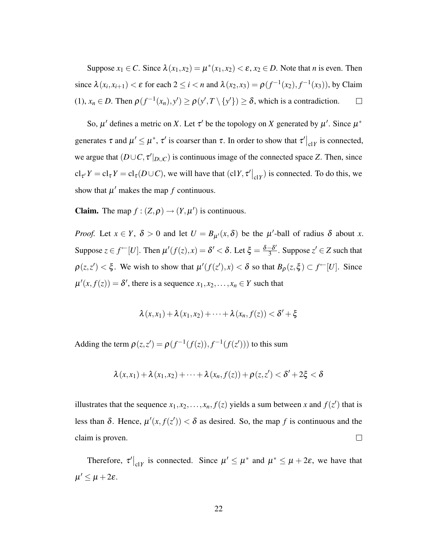Suppose  $x_1 \in C$ . Since  $\lambda(x_1, x_2) = \mu^*(x_1, x_2) < \varepsilon$ ,  $x_2 \in D$ . Note that *n* is even. Then since  $\lambda(x_i, x_{i+1}) < \varepsilon$  for each  $2 \le i < n$  and  $\lambda(x_2, x_3) = \rho(f^{-1}(x_2), f^{-1}(x_3))$ , by Claim  $(1), x_n \in D$ . Then  $\rho(f^{-1}(x_n), y') \ge \rho(y', T \setminus \{y'\}) \ge \delta$ , which is a contradiction.  $\Box$ 

So,  $\mu'$  defines a metric on *X*. Let  $\tau'$  be the topology on *X* generated by  $\mu'$ . Since  $\mu^*$ generates  $\tau$  and  $\mu' \leq \mu^*$ ,  $\tau'$  is coarser than  $\tau$ . In order to show that  $\tau'|_{c1Y}$  is connected, we argue that  $(D\cup C, \tau'|_{D\cup C})$  is continuous image of the connected space *Z*. Then, since  $\text{cl}_{\tau'} Y = \text{cl}_{\tau} Y = \text{cl}_{\tau}(D \cup C)$ , we will have that  $(\text{cl} Y, \tau' |_{\text{cl} Y})$  is connected. To do this, we show that  $\mu'$  makes the map  $f$  continuous.

**Claim.** The map  $f : (Z, \rho) \to (Y, \mu')$  is continuous.

*Proof.* Let  $x \in Y$ ,  $\delta > 0$  and let  $U = B_{\mu'}(x, \delta)$  be the  $\mu'$ -ball of radius  $\delta$  about *x*. Suppose  $z \in f^{\leftarrow}[U]$ . Then  $\mu'(f(z),x) = \delta' < \delta$ . Let  $\xi = \frac{\delta - \delta'}{3}$  $\frac{-\delta'}{3}$ . Suppose  $z' \in Z$  such that  $\rho(z, z') < \xi$ . We wish to show that  $\mu'(f(z'), x) < \delta$  so that  $B_{\rho}(z, \xi) \subset f^{\leftarrow}[U]$ . Since  $\mu'(x, f(z)) = \delta'$ , there is a sequence  $x_1, x_2, ..., x_n \in Y$  such that

$$
\lambda(x,x_1)+\lambda(x_1,x_2)+\cdots+\lambda(x_n,f(z))<\delta'+\xi
$$

Adding the term  $\rho(z, z') = \rho(f^{-1}(f(z)), f^{-1}(f(z')))$  to this sum

$$
\lambda(x,x_1)+\lambda(x_1,x_2)+\cdots+\lambda(x_n,f(z))+\rho(z,z')<\delta'+2\xi<\delta
$$

illustrates that the sequence  $x_1, x_2, \ldots, x_n, f(z)$  yields a sum between *x* and  $f(z')$  that is less than  $\delta$ . Hence,  $\mu'(x, f(z')) < \delta$  as desired. So, the map f is continuous and the claim is proven.  $\Box$ 

Therefore,  $\tau'|_{\text{cl}Y}$  is connected. Since  $\mu' \leq \mu^*$  and  $\mu^* \leq \mu + 2\varepsilon$ , we have that  $\mu' \leq \mu + 2\varepsilon$ .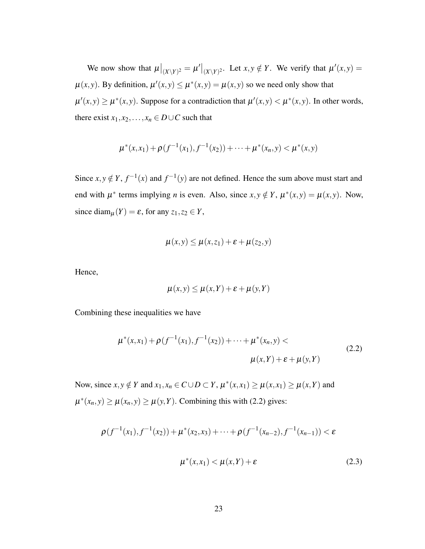We now show that  $\mu|_{(X \setminus Y)^2} = \mu'|_{(X \setminus Y)^2}$ . Let  $x, y \notin Y$ . We verify that  $\mu'(x, y) =$  $\mu(x, y)$ . By definition,  $\mu'(x, y) \leq \mu^*(x, y) = \mu(x, y)$  so we need only show that  $\mu'(x, y) \ge \mu^*(x, y)$ . Suppose for a contradiction that  $\mu'(x, y) < \mu^*(x, y)$ . In other words, there exist  $x_1, x_2, \ldots, x_n \in D \cup C$  such that

$$
\mu^*(x,x_1)+\rho(f^{-1}(x_1),f^{-1}(x_2))+\cdots+\mu^*(x_n,y)<\mu^*(x,y)
$$

Since  $x, y \notin Y$ ,  $f^{-1}(x)$  and  $f^{-1}(y)$  are not defined. Hence the sum above must start and end with  $\mu^*$  terms implying *n* is even. Also, since  $x, y \notin Y$ ,  $\mu^*(x, y) = \mu(x, y)$ . Now, since diam<sub> $\mu$ </sub> $(Y) = \varepsilon$ , for any  $z_1, z_2 \in Y$ ,

$$
\mu(x,y) \leq \mu(x,z_1) + \varepsilon + \mu(z_2,y)
$$

Hence,

$$
\mu(x, y) \le \mu(x, Y) + \varepsilon + \mu(y, Y)
$$

Combining these inequalities we have

<span id="page-22-0"></span>
$$
\mu^*(x, x_1) + \rho(f^{-1}(x_1), f^{-1}(x_2)) + \dots + \mu^*(x_n, y) \n\mu(x, Y) + \varepsilon + \mu(y, Y)
$$
\n(2.2)

Now, since  $x, y \notin Y$  and  $x_1, x_n \in C \cup D \subset Y$ ,  $\mu^*(x, x_1) \ge \mu(x, x_1) \ge \mu(x, Y)$  and  $\mu^*(x_n, y) \ge \mu(x_n, y) \ge \mu(y, Y)$ . Combining this with [\(2.2\)](#page-22-0) gives:

<span id="page-22-1"></span>
$$
\rho(f^{-1}(x_1), f^{-1}(x_2)) + \mu^*(x_2, x_3) + \dots + \rho(f^{-1}(x_{n-2}), f^{-1}(x_{n-1})) < \varepsilon
$$
  

$$
\mu^*(x, x_1) < \mu(x, Y) + \varepsilon
$$
 (2.3)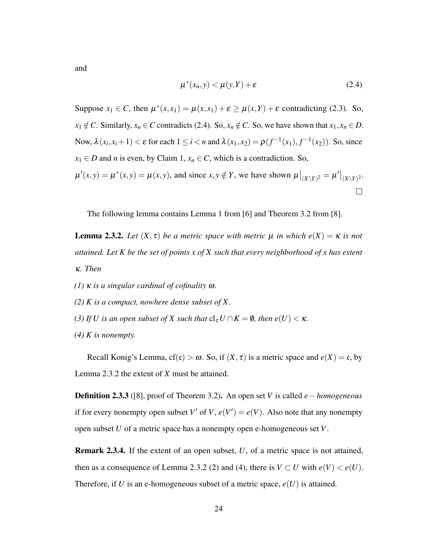<span id="page-23-2"></span>and

<span id="page-23-0"></span>
$$
\mu^*(x_n, y) < \mu(y, Y) + \varepsilon \tag{2.4}
$$

Suppose  $x_1 \in C$ , then  $\mu^*(x, x_1) = \mu(x, x_1) + \varepsilon \ge \mu(x, Y) + \varepsilon$  contradicting [\(2.3\)](#page-22-1). So, *x*<sub>1</sub> ∉ *C*. Similarly, *x<sub>n</sub>* ∈ *C* contradicts [\(2.4\)](#page-23-0). So, *x<sub>n</sub>* ∉ *C*. So, we have shown that *x*<sub>1</sub>, *x<sub>n</sub>* ∈ *D*. Now,  $\lambda(x_i, x_i + 1) < \varepsilon$  for each  $1 \le i < n$  and  $\lambda(x_1, x_2) = \rho(f^{-1}(x_1), f^{-1}(x_2))$ . So, since *x*<sup>1</sup> ∈ *D* and *n* is even, by Claim 1,  $x_n$  ∈ *C*, which is a contradiction. So,  $\mu'(x, y) = \mu^*(x, y) = \mu(x, y)$ , and since  $x, y \notin Y$ , we have shown  $\mu|_{(X \setminus Y)^2} = \mu'|_{(X \setminus Y)^2}$ .  $\Box$ 

The following lemma contains Lemma 1 from [\[6\]](#page-49-7) and Theorem 3.2 from [\[8\]](#page-49-6).

<span id="page-23-1"></span>**Lemma 2.3.2.** Let  $(X, \tau)$  be a metric space with metric  $\mu$  in which  $e(X) = \kappa$  is not *attained. Let K be the set of points x of X such that every neighborhood of x has extent* κ*. Then*

- *(1)* κ *is a singular cardinal of cofinality* ω*.*
- *(2) K is a compact, nowhere dense subset of X.*
- *(3) If U is an open subset of X such that*  $cl_{\tau} U \cap K = \emptyset$ *, then e*(*U*) <  $\kappa$ *.*
- *(4) K is nonempty.*

Recall Konig's Lemma,  $cf(c) > \omega$ . So, if  $(X, \tau)$  is a metric space and  $e(X) = c$ , by Lemma [2.3.2](#page-23-1) the extent of *X* must be attained.

Definition 2.3.3 ([\[8\]](#page-49-6), proof of Theorem 3.2). An open set *V* is called *e*−*homogeneous* if for every nonempty open subset *V'* of *V*,  $e(V') = e(V)$ . Also note that any nonempty open subset *U* of a metric space has a nonempty open e-homogeneous set *V*.

Remark 2.3.4. If the extent of an open subset, *U*, of a metric space is not attained, then as a consequence of Lemma [2.3.2](#page-23-1) (2) and (4), there is  $V \subset U$  with  $e(V) < e(U)$ . Therefore, if *U* is an e-homogeneous subset of a metric space,  $e(U)$  is attained.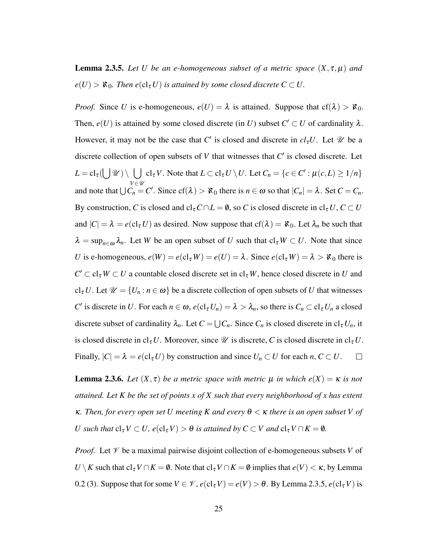<span id="page-24-0"></span>**Lemma 2.3.5.** Let *U* be an e-homogeneous subset of a metric space  $(X, \tau, \mu)$  and  $e(U) > \mathfrak{K}_0$ . Then  $e(\text{cl}_{\tau} U)$  *is attained by some closed discrete*  $C \subset U$ .

*Proof.* Since *U* is e-homogeneous,  $e(U) = \lambda$  is attained. Suppose that  $cf(\lambda) > \aleph_0$ . Then,  $e(U)$  is attained by some closed discrete (in *U*) subset  $C' \subset U$  of cardinality  $\lambda$ . However, it may not be the case that  $C'$  is closed and discrete in  $cl_{\tau}U$ . Let  $\mathscr U$  be a discrete collection of open subsets of  $V$  that witnesses that  $C'$  is closed discrete. Let  $L = \text{cl}_{\tau}(\bigcup \mathscr{U}) \setminus \bigcup \text{ cl}_{\tau}V.$  Note that  $L \subset \text{cl}_{\tau}U \setminus U.$  Let  $C_n = \{c \in C' : \mu(c, L) \geq 1/n\}$ *V*∈U and note that  $\bigcup C_n = C'$ . Since  $cf(\lambda) > \aleph_0$  there is  $n \in \omega$  so that  $|C_n| = \lambda$ . Set  $C = C_n$ . By construction, *C* is closed and  $cl_{\tau}C \cap L = \emptyset$ , so *C* is closed discrete in  $cl_{\tau}U$ ,  $C \subset U$ and  $|C| = \lambda = e(\mathrm{cl}_{\tau} U)$  as desired. Now suppose that  $cf(\lambda) = \aleph_0$ . Let  $\lambda_n$  be such that  $\lambda = \sup_{n \in \omega} \lambda_n$ . Let *W* be an open subset of *U* such that  $cl_{\tau} W \subset U$ . Note that since *U* is e-homogeneous,  $e(W) = e(cl_{\tau} W) = e(U) = \lambda$ . Since  $e(cl_{\tau} W) = \lambda > \aleph_0$  there is  $C' \subset cl_{\tau} W \subset U$  a countable closed discrete set in  $cl_{\tau} W$ , hence closed discrete in *U* and  $cl_{\tau} U$ . Let  $\mathcal{U} = \{U_n : n \in \omega\}$  be a discrete collection of open subsets of *U* that witnesses *C*<sup>
<sup>*c*</sup> is discrete in *U*. For each  $n \in \omega$ ,  $e(cl_{\tau} U_n) = \lambda > \lambda_n$ , so there is  $C_n \subset cl_{\tau} U_n$  a closed</sup> discrete subset of cardinality  $\lambda_n$ . Let  $C = \bigcup C_n$ . Since  $C_n$  is closed discrete in  $\text{cl}_{\tau} U_n$ , it is closed discrete in cl<sub>τ</sub>U. Moreover, since  $\mathcal U$  is discrete, C is closed discrete in cl<sub>τ</sub>U. Finally,  $|C| = \lambda = e(\mathrm{cl}_{\tau} U)$  by construction and since  $U_n \subset U$  for each  $n, C \subset U$ .  $\Box$ 

<span id="page-24-1"></span>**Lemma 2.3.6.** *Let*  $(X, \tau)$  *be a metric space with metric*  $\mu$  *in which*  $e(X) = \kappa$  *is not attained. Let K be the set of points x of X such that every neighborhood of x has extent* κ*. Then, for every open set U meeting K and every* θ < κ *there is an open subset V of U* such that  $cl_{\tau}V \subset U$ ,  $e(cl_{\tau}V) > \theta$  is attained by  $C \subset V$  and  $cl_{\tau}V \cap K = \emptyset$ .

*Proof.* Let  $\mathcal V$  be a maximal pairwise disjoint collection of e-homogeneous subsets  $V$  of *U* \ *K* such that  $cl_{\tau} V \cap K = \emptyset$ . Note that  $cl_{\tau} V \cap K = \emptyset$  implies that  $e(V) < \kappa$ , by Lemma 0.2 (3). Suppose that for some  $V \in \mathcal{V}$ ,  $e(cl_{\tau} V) = e(V) > \theta$ . By Lemma [2.3.5,](#page-24-0)  $e(cl_{\tau} V)$  is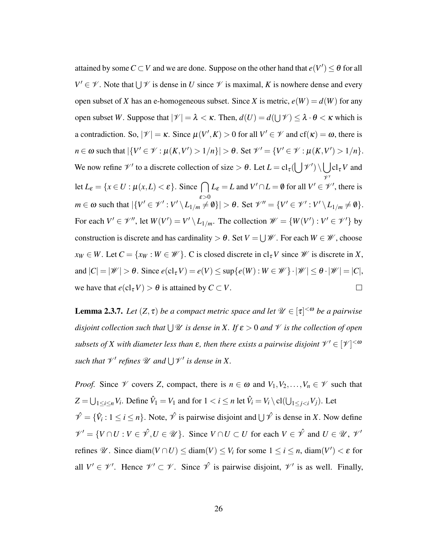attained by some  $C \subset V$  and we are done. Suppose on the other hand that  $e(V') \leq \theta$  for all  $V' \in \mathcal{V}$ . Note that  $\bigcup \mathcal{V}$  is dense in *U* since  $\mathcal{V}$  is maximal, *K* is nowhere dense and every open subset of *X* has an e-homogeneous subset. Since *X* is metric,  $e(W) = d(W)$  for any open subset *W*. Suppose that  $|\mathcal{V}| = \lambda < \kappa$ . Then,  $d(U) = d(\bigcup \mathcal{V}) \leq \lambda \cdot \theta < \kappa$  which is a contradiction. So,  $|\mathcal{V}| = \kappa$ . Since  $\mu(V', K) > 0$  for all  $V' \in \mathcal{V}$  and  $cf(\kappa) = \omega$ , there is  $n \in \omega$  such that  $|\{V' \in \mathcal{V} : \mu(K, V') > 1/n\}| > \theta$ . Set  $\mathcal{V}' = \{V' \in \mathcal{V} : \mu(K, V') > 1/n\}.$ We now refine  $\mathcal{V}'$  to a discrete collection of size  $> \theta$ . Let  $L = cl_{\tau}(\bigcup \mathcal{V}') \setminus \bigcup cl_{\tau} V$  and  $\mathscr{V}'$ let  $L_{\varepsilon} = \{x \in U : \mu(x, L) < \varepsilon\}$ . Since  $\bigcap L_{\varepsilon} = L$  and  $V' \cap L = \emptyset$  for all  $V' \in \mathcal{V}'$ , there is ε>0  $m \in \omega$  such that  $|\{V' \in \mathcal{V}' : V' \setminus L_{1/m} \neq \emptyset\}| > \theta$ . Set  $\mathcal{V}'' = \{V' \in \mathcal{V}' : V' \setminus L_{1/m} \neq \emptyset\}.$ For each  $V' \in \mathcal{V}''$ , let  $W(V') = V' \setminus L_{1/m}$ . The collection  $\mathcal{W} = \{W(V') : V' \in \mathcal{V}'\}$  by construction is discrete and has cardinality  $> \theta$ . Set  $V = \bigcup \mathscr{W}$ . For each  $W \in \mathscr{W}$ , choose  $x_W \in W$ . Let  $C = \{x_W : W \in \mathcal{W}\}\$ . C is closed discrete in  $cl_{\tau}V$  since  $\mathcal W$  is discrete in *X*, and  $|C| = |\mathcal{W}| > \theta$ . Since  $e(cl_{\tau} V) = e(V) \leq \sup \{e(W) : W \in \mathcal{W} \} \cdot |\mathcal{W}| \leq \theta \cdot |\mathcal{W}| = |C|$ , we have that  $e(cl_{\tau} V) > \theta$  is attained by  $C \subset V$ .  $\Box$ 

<span id="page-25-0"></span>**Lemma 2.3.7.** Let  $(Z, \tau)$  be a compact metric space and let  $\mathscr{U} \in [\tau]^{<\omega}$  be a pairwise *disjoint collection such that* S U *is dense in X. If* ε > 0 *and* V *is the collection of open* subsets of X with diameter less than  $\varepsilon$ , then there exists a pairwise disjoint  $\mathscr{V}' \in [\mathscr{V}]^{<\omega}$ *such that*  $\mathcal{V}'$  *refines*  $\mathcal{U}$  *and*  $\bigcup \mathcal{V}'$  *is dense in* X.

*Proof.* Since  $\mathcal V$  covers *Z*, compact, there is  $n \in \omega$  and  $V_1, V_2, \ldots, V_n \in \mathcal V$  such that  $Z = \bigcup_{1 \le i \le n} V_i$ . Define  $\hat{V}_1 = V_1$  and for  $1 < i \le n$  let  $\hat{V}_i = V_i \setminus cl(\bigcup_{1 \le j < i} V_j)$ . Let  $\hat{\mathcal{V}} = \{\hat{V}_i : 1 \le i \le n\}$ . Note,  $\hat{\mathcal{V}}$  is pairwise disjoint and  $\bigcup \hat{\mathcal{V}}$  is dense in *X*. Now define  $\mathcal{V}' = \{V \cap U : V \in \mathcal{V}, U \in \mathcal{U}\}\$ . Since  $V \cap U \subset U$  for each  $V \in \mathcal{V}$  and  $U \in \mathcal{U}, \mathcal{V}'$ refines  $\mathcal{U}$ . Since diam $(V \cap U) \leq \text{diam}(V) \leq V_i$  for some  $1 \leq i \leq n$ , diam $(V') < \varepsilon$  for all  $V' \in \mathcal{V}'$ . Hence  $\mathcal{V}' \subset \mathcal{V}$ . Since  $\hat{\mathcal{V}}$  is pairwise disjoint,  $\mathcal{V}'$  is as well. Finally,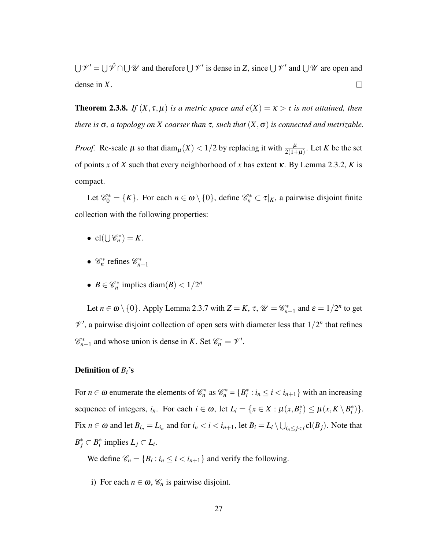$\bigcup \mathscr{V}' = \bigcup \mathscr{V} \cap \bigcup \mathscr{U}$  and therefore  $\bigcup \mathscr{V}'$  is dense in *Z*, since  $\bigcup \mathscr{V}'$  and  $\bigcup \mathscr{U}$  are open and dense in *X*.  $\Box$ 

<span id="page-26-0"></span>**Theorem 2.3.8.** *If*  $(X, \tau, \mu)$  *is a metric space and*  $e(X) = \kappa > c$  *is not attained, then there is*  $\sigma$ , a topology on *X* coarser than  $\tau$ , such that  $(X, \sigma)$  is connected and metrizable.

*Proof.* Re-scale  $\mu$  so that  $\text{diam}_{\mu}(X) < 1/2$  by replacing it with  $\frac{\mu}{2(1+\mu)}$ . Let *K* be the set of points *x* of *X* such that every neighborhood of *x* has extent κ. By Lemma [2.3.2,](#page-23-1) *K* is compact.

Let  $\mathcal{C}_0^* = \{K\}$ . For each  $n \in \omega \setminus \{0\}$ , define  $\mathcal{C}_n^* \subset \tau|_K$ , a pairwise disjoint finite collection with the following properties:

- $cl(\bigcup \mathscr{C}_n^*) = K$ .
- $\mathcal{C}_n^*$  refines  $\mathcal{C}_{n-1}^*$
- $B \in \mathcal{C}_n^*$  implies diam $(B) < 1/2^n$

Let  $n \in \omega \setminus \{0\}$ . Apply Lemma [2.3.7](#page-25-0) with  $Z = K$ ,  $\tau$ ,  $\mathcal{U} = \mathcal{C}_{n-1}^*$  and  $\varepsilon = 1/2^n$  to get  $\mathcal{V}'$ , a pairwise disjoint collection of open sets with diameter less that  $1/2^n$  that refines  $\mathscr{C}_{n-1}^*$  and whose union is dense in *K*. Set  $\mathscr{C}_n^* = \mathscr{V}'$ .

#### Definition of *Bi*'s

For  $n \in \omega$  enumerate the elements of  $\mathcal{C}_n^*$  as  $\mathcal{C}_n^* = \{B_i^* : i_n \le i \le i_{n+1}\}$  with an increasing sequence of integers,  $i_n$ . For each  $i \in \omega$ , let  $L_i = \{x \in X : \mu(x, B_i^*) \leq \mu(x, K \setminus B_i^*)\}.$ Fix  $n \in \omega$  and let  $B_{i_n} = L_{i_n}$  and for  $i_n < i < i_{n+1}$ , let  $B_i = L_i \setminus \bigcup_{i_n \leq j < i} \text{cl}(B_j)$ . Note that  $B_j^* \subset B_i^*$  implies  $L_j \subset L_i$ .

We define  $\mathcal{C}_n = \{B_i : i_n \le i < i_{n+1}\}\$  and verify the following.

i) For each  $n \in \omega$ ,  $\mathcal{C}_n$  is pairwise disjoint.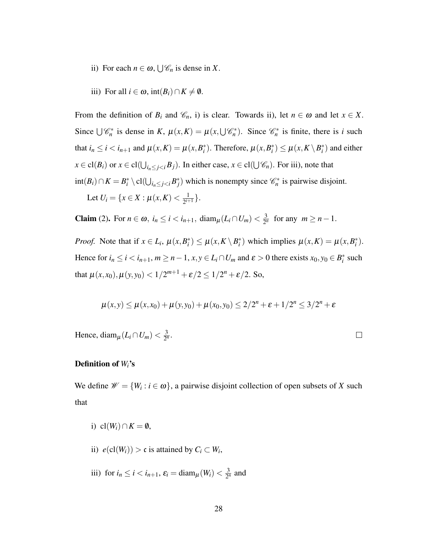- <span id="page-27-0"></span>ii) For each  $n \in \omega$ ,  $\bigcup \mathcal{C}_n$  is dense in *X*.
- iii) For all  $i \in \omega$ , int $(B_i) \cap K \neq \emptyset$ .

From the definition of  $B_i$  and  $\mathcal{C}_n$ , i) is clear. Towards ii), let  $n \in \omega$  and let  $x \in X$ . Since  $\bigcup \mathcal{C}_n^*$  is dense in *K*,  $\mu(x,K) = \mu(x,\bigcup \mathcal{C}_n^*)$ . Since  $\mathcal{C}_n^*$  is finite, there is *i* such that  $i_n \le i < i_{n+1}$  and  $\mu(x, K) = \mu(x, B_i^*)$ . Therefore,  $\mu(x, B_i^*) \le \mu(x, K \setminus B_i^*)$  and either  $x \in \text{cl}(B_i)$  or  $x \in \text{cl}(\bigcup_{i_n \leq j < i} B_j)$ . In either case,  $x \in \text{cl}(\bigcup \mathscr{C}_n)$ . For iii), note that  $\text{int}(B_i) \cap K = B_i^* \setminus \text{cl}(\bigcup_{i_n \leq j < i} B_j^*)$  which is nonempty since  $\mathcal{C}_n^*$  is pairwise disjoint. Let  $U_i = \{x \in X : \mu(x, K) < \frac{1}{2^{i+1}}\}$  $\frac{1}{2^{i+1}}\}.$ 

**Claim** (2). For  $n \in \omega$ ,  $i_n \le i < i_{n+1}$ , diam<sub> $\mu$ </sub>  $(L_i \cap U_m) < \frac{3}{2^n}$  $\frac{3}{2^n}$  for any  $m \geq n-1$ .

*Proof.* Note that if  $x \in L_i$ ,  $\mu(x, B_i^*) \leq \mu(x, K \setminus B_i^*)$  which implies  $\mu(x, K) = \mu(x, B_i^*)$ . Hence for  $i_n \le i < i_{n+1}$ ,  $m \ge n-1$ ,  $x, y \in L_i \cap U_m$  and  $\varepsilon > 0$  there exists  $x_0, y_0 \in B_i^*$  such that  $\mu(x, x_0), \mu(y, y_0) < 1/2^{m+1} + \varepsilon/2 \le 1/2^n + \varepsilon/2$ . So,

$$
\mu(x,y) \le \mu(x,x_0) + \mu(y,y_0) + \mu(x_0,y_0) \le 2/2^n + \varepsilon + 1/2^n \le 3/2^n + \varepsilon
$$

Hence, diam<sub>µ</sub> $(L_i \cap U_m) < \frac{3}{2}$  $\frac{3}{2^n}$ .

#### $\Box$

#### Definition of *Wi*'s

We define  $\mathcal{W} = \{W_i : i \in \omega\}$ , a pairwise disjoint collection of open subsets of *X* such that

- i) cl( $W_i$ )∩ $K = \emptyset$ ,
- ii)  $e(cl(W_i)) > c$  is attained by  $C_i \subset W_i$ ,
- iii) for  $i_n \le i < i_{n+1}$ ,  $\varepsilon_i = \text{diam}_{\mu}(W_i) < \frac{3}{2^n}$  $rac{3}{2^n}$  and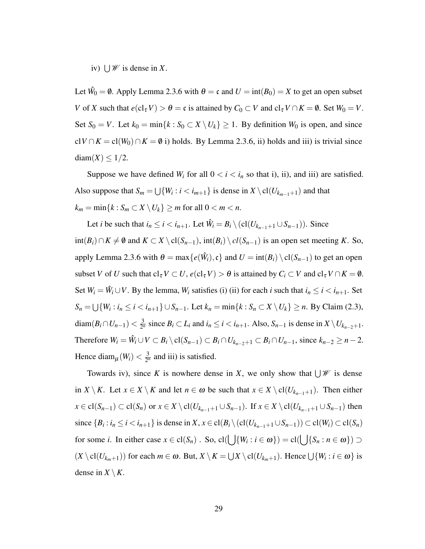iv)  $\bigcup \mathscr{W}$  is dense in *X*.

Let  $\hat{W}_0 = \emptyset$ . Apply Lemma [2.3.6](#page-24-1) with  $\theta = \mathfrak{c}$  and  $U = \text{int}(B_0) = X$  to get an open subset *V* of *X* such that  $e(cl_{\tau} V) > \theta = \mathfrak{c}$  is attained by  $C_0 \subset V$  and  $cl_{\tau} V \cap K = \emptyset$ . Set  $W_0 = V$ . Set  $S_0 = V$ . Let  $k_0 = \min\{k : S_0 \subset X \setminus U_k\} \ge 1$ . By definition  $W_0$  is open, and since cl*V* ∩*K* = cl(*W*<sub>0</sub>) ∩ *K* =  $\emptyset$  i) holds. By Lemma [2.3.6,](#page-24-1) ii) holds and iii) is trivial since  $diam(X) \leq 1/2$ .

Suppose we have defined  $W_i$  for all  $0 < i < i_n$  so that i), ii), and iii) are satisfied. Also suppose that  $S_m = \bigcup \{W_i : i < i_{m+1}\}$  is dense in  $X \setminus cl(U_{k_{m-1}+1})$  and that  $k_m = \min\{k : S_m \subset X \setminus U_k\} \ge m$  for all  $0 < m < n$ .

Let *i* be such that  $i_n \le i < i_{n+1}$ . Let  $\hat{W}_i = B_i \setminus (cl(U_{k_{n-1}+1} \cup S_{n-1}))$ . Since  $int(B_i) ∩ K \neq \emptyset$  and  $K ⊂ X \setminus cl(S_{n-1}), int(B_i) \setminus cl(S_{n-1})$  is an open set meeting *K*. So, apply Lemma [2.3.6](#page-24-1) with  $\theta = \max\{e(\hat{W}_i), \mathfrak{c}\}\$  and  $U = \text{int}(B_i) \setminus \text{cl}(S_{n-1})$  to get an open subset *V* of *U* such that  $cl_{\tau} V \subset U$ ,  $e(cl_{\tau} V) > \theta$  is attained by  $C_i \subset V$  and  $cl_{\tau} V \cap K = \emptyset$ . Set  $W_i = \hat{W}_i \cup V$ . By the lemma,  $W_i$  satisfies (i) (ii) for each *i* such that  $i_n \le i < i_{n+1}$ . Set *S*<sup>*n*</sup> = ∪{*W<sub>i</sub>* : *i*<sup>*n*</sup> ≤ *i* < *i*<sub>*n*+1</sub>} ∪ *S*<sub>*n*-1</sub>. Let *k*<sub>*n*</sub> = min{*k* : *S*<sub>*n*</sub> ⊂ *X* \*U<sub>k</sub>*} ≥ *n*. By Claim [\(2.3\)](#page-27-0), diam $(B_i \cap U_{n-1}) < \frac{3}{2^n}$  $\frac{3}{2^n}$  since *B*<sup>*i*</sup> ⊂ *L<sub>i</sub>* and *i*<sub>*n*</sub> ≤ *i* < *i*<sub>*n*+1</sub>. Also, *S*<sub>*n*−1</sub> is dense in *X*  $\setminus U_{k_{n-2}+1}$ . Therefore  $W_i = \hat{W}_i \cup V \subset B_i \setminus cl(S_{n-1}) \subset B_i \cap U_{k_{n-2}+1} \subset B_i \cap U_{n-1}$ , since  $k_{n-2} \ge n-2$ . Hence diam<sub> $\mu$ </sub> $(W_i) < \frac{3}{2^n}$  $\frac{3}{2^n}$  and iii) is satisfied.

Towards iv), since *K* is nowhere dense in *X*, we only show that  $\bigcup \mathcal{W}$  is dense in *X* \ *K*. Let *x* ∈ *X* \ *K* and let *n* ∈ ω be such that *x* ∈ *X* \ cl(*U*<sub>*kn*−1+1</sub>). Then either *x* ∈ cl(*S*<sub>*n*−1</sub>) ⊂ cl(*S*<sub>*n*</sub>) or *x* ∈ *X* \ cl(*U*<sub>*k*<sub>*n*−1</sub>+1</sub> ∪ *S*<sub>*n*−1</sub>). If *x* ∈ *X* \ cl(*U*<sub>*k*<sub>*n*−1+1</sub> ∪ *S*<sub>*n*−1</sub>) then</sub> since  $\{B_i : i_n \le i < i_{n+1}\}\$  is dense in  $X, x \in cl(B_i \setminus (cl(U_{k_{n-1}+1} \cup S_{n-1})) \subset cl(W_i) \subset cl(S_n)$ for some *i*. In either case  $x \in \text{cl}(S_n)$ . So,  $\text{cl}(\bigcup \{W_i : i \in \omega\}) = \text{cl}(\bigcup \{S_n : n \in \omega\}) \supset$  $(X \setminus cl(U_{k_m+1}))$  for each  $m \in \omega$ . But,  $X \setminus K = \bigcup X \setminus cl(U_{k_m+1})$ . Hence  $\bigcup \{W_i : i \in \omega\}$  is dense in  $X \setminus K$ .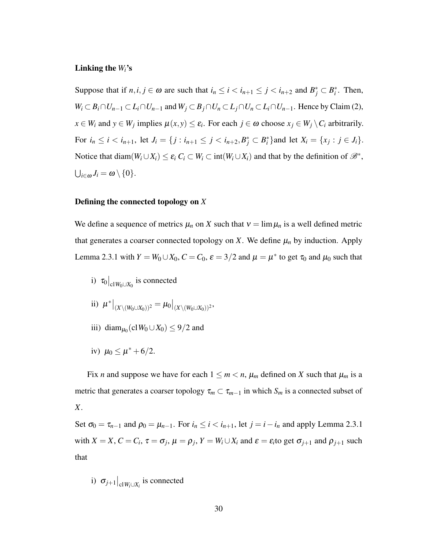#### Linking the  $W_i$ 's

Suppose that if  $n, i, j \in \omega$  are such that  $i_n \le i < i_{n+1} \le j < i_{n+2}$  and  $B_j^* \subset B_i^*$ . Then,  $W_i \subset B_i \cap U_{n-1} \subset L_i \cap U_{n-1}$  and  $W_j \subset B_j \cap U_n \subset L_j \cap U_n \subset L_i \cap U_{n-1}$ . Hence by Claim (2),  $x \in W_i$  and  $y \in W_j$  implies  $\mu(x, y) \le \varepsilon_i$ . For each  $j \in \omega$  choose  $x_j \in W_j \setminus C_i$  arbitrarily. For  $i_n \le i < i_{n+1}$ , let  $J_i = \{j : i_{n+1} \le j < i_{n+2}, B_j^* \subset B_i^*\}$  and let  $X_i = \{x_j : j \in J_i\}$ . Notice that diam $(W_i \cup X_i) \le \varepsilon_i C_i \subset W_i \subset \text{int}(W_i \cup X_i)$  and that by the definition of  $\mathscr{B}^*$ ,  $\bigcup_{i\in\omega}J_i=\omega\setminus\{0\}.$ 

#### Defining the connected topology on *X*

We define a sequence of metrics  $\mu_n$  on *X* such that  $v = \lim \mu_n$  is a well defined metric that generates a coarser connected topology on *X*. We define  $\mu_n$  by induction. Apply Lemma [2.3.1](#page-18-1) with  $Y = W_0 \cup X_0$ ,  $C = C_0$ ,  $\varepsilon = 3/2$  and  $\mu = \mu^*$  to get  $\tau_0$  and  $\mu_0$  such that

- i)  $\tau_0|_{\text{cl}W_0 \cup X_0}$  is connected
- ii)  $\mu^*|_{(X\setminus (W_0\cup X_0))^2} = \mu_0|_{(X\setminus (W_0\cup X_0))^2},$
- iii) diam<sub> $\mu_0$ </sub> (cl $W_0 \cup X_0$ )  $\leq 9/2$  and
- iv)  $\mu_0 \le \mu^* + 6/2$ .

Fix *n* and suppose we have for each  $1 \le m < n$ ,  $\mu_m$  defined on *X* such that  $\mu_m$  is a metric that generates a coarser topology  $\tau_m \subset \tau_{m-1}$  in which  $S_m$  is a connected subset of *X*.

Set  $\sigma_0 = \tau_{n-1}$  and  $\rho_0 = \mu_{n-1}$ . For  $i_n \le i < i_{n+1}$ , let  $j = i - i_n$  and apply Lemma [2.3.1](#page-18-1) with  $X = X$ ,  $C = C_i$ ,  $\tau = \sigma_j$ ,  $\mu = \rho_j$ ,  $Y = W_i \cup X_i$  and  $\varepsilon = \varepsilon_i$  to get  $\sigma_{j+1}$  and  $\rho_{j+1}$  such that

i) 
$$
\sigma_{j+1}|_{\text{cl }W_i \cup X_i}
$$
 is connected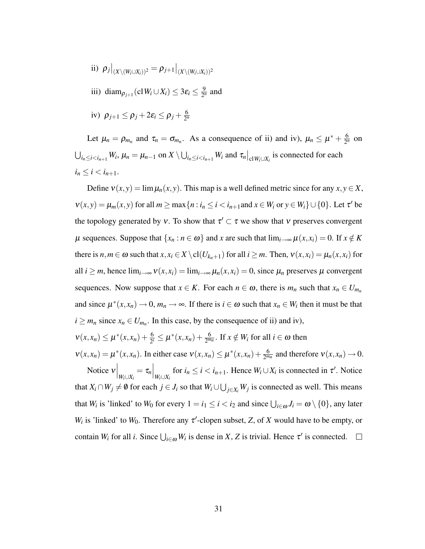- ii)  $\rho_j|_{(X \setminus (W_i \cup X_i))^2} = \rho_{j+1}|_{(X \setminus (W_i \cup X_i))^2}$
- iii) diam<sub> $\rho_{j+1}$ </sub> (cl $W_i \cup X_i$ )  $\leq 3\varepsilon_i \leq \frac{9}{2^n}$  $\frac{9}{2^n}$  and
- iv)  $\rho_{j+1} \leq \rho_j + 2\varepsilon_i \leq \rho_j + \frac{6}{2^i}$ 2 *n*

Let  $\mu_n = \rho_{m_n}$  and  $\tau_n = \sigma_{m_n}$ . As a consequence of ii) and iv),  $\mu_n \le \mu^* + \frac{6}{2^n}$  $rac{6}{2^n}$  on  $\bigcup_{i_n\leq i< i_{n+1}}W_i$ ,  $\mu_n=\mu_{n-1}$  on  $X\setminus\bigcup_{i_n\leq i< i_{n+1}}W_i$  and  $\tau_n\big|_{\text{cl }W_i\cup X_i}$  is connected for each  $i_n \leq i < i_{n+1}$ .

Define  $v(x, y) = \lim_{h \to 0} \mu_n(x, y)$ . This map is a well defined metric since for any  $x, y \in X$ ,  $v(x, y) = \mu_m(x, y)$  for all  $m \ge \max\{n : i_n \le i < i_{n+1}$  and  $x \in W_i$  or  $y \in W_i\} \cup \{0\}$ . Let  $\tau'$  be the topology generated by v. To show that  $\tau' \subset \tau$  we show that v preserves convergent  $\mu$  sequences. Suppose that  $\{x_n : n \in \omega\}$  and *x* are such that  $\lim_{i \to \infty} \mu(x, x_i) = 0$ . If  $x \notin K$ there is  $n, m \in \omega$  such that  $x, x_i \in X \setminus cl(U_{k_n+1})$  for all  $i \geq m$ . Then,  $v(x, x_i) = \mu_n(x, x_i)$  for all  $i \geq m$ , hence  $\lim_{i \to \infty} v(x, x_i) = \lim_{i \to \infty} \mu_n(x, x_i) = 0$ , since  $\mu_n$  preserves  $\mu$  convergent sequences. Now suppose that  $x \in K$ . For each  $n \in \omega$ , there is  $m_n$  such that  $x_n \in U_{m_n}$ and since  $\mu^*(x, x_n) \to 0$ ,  $m_n \to \infty$ . If there is  $i \in \omega$  such that  $x_n \in W_i$  then it must be that  $i \geq m_n$  since  $x_n \in U_{m_n}$ . In this case, by the consequence of ii) and iv),

 $v(x, x_n) \le \mu^*(x, x_n) + \frac{6}{2^i} \le \mu^*(x, x_n) + \frac{6}{2^{m_n}}$ . If  $x \notin W_i$  for all  $i \in \omega$  then

 $v(x, x_n) = \mu^*(x, x_n)$ . In either case  $v(x, x_n) \leq \mu^*(x, x_n) + \frac{6}{2^{m_n}}$  and therefore  $v(x, x_n) \to 0$ .

Notice  $v\Big|_{W_i \cup X_i} = \tau_n\Big|_{W_i \cup X_i}$  for  $i_n \le i < i_{n+1}$ . Hence  $W_i \cup X_i$  is connected in  $\tau'$ . Notice that  $X_i \cap W_j \neq \emptyset$  for each  $j \in J_i$  so that  $W_i \cup \bigcup_{j \in X_i} W_j$  is connected as well. This means that *W<sub>i</sub>* is 'linked' to *W*<sup>0</sup> for every  $1 = i_1 \le i < i_2$  and since  $\bigcup_{i \in \omega} J_i = \omega \setminus \{0\}$ , any later *W<sub>i</sub>* is 'linked' to *W*<sub>0</sub>. Therefore any  $\tau'$ -clopen subset, *Z*, of *X* would have to be empty, or contain *W<sub>i</sub>* for all *i*. Since  $\bigcup_{i \in \omega} W_i$  is dense in *X*, *Z* is trivial. Hence  $\tau'$  is connected.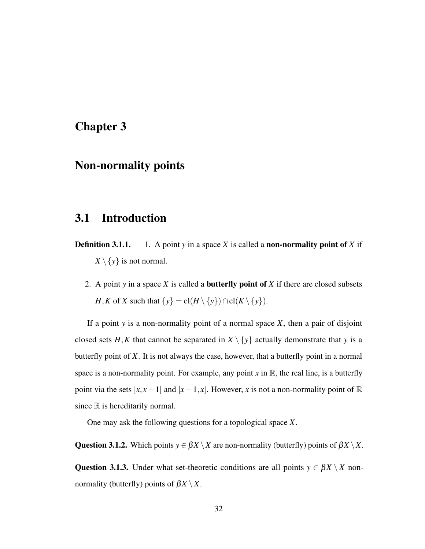### <span id="page-31-0"></span>Chapter 3

### Non-normality points

### <span id="page-31-1"></span>3.1 Introduction

- **Definition 3.1.1.** 1. A point *y* in a space *X* is called a **non-normality point of** *X* if  $X \setminus \{y\}$  is not normal.
	- 2. A point *y* in a space *X* is called a butterfly point of *X* if there are closed subsets *H*,*K* of *X* such that  $\{y\} = cl(H \setminus \{y\}) \cap cl(K \setminus \{y\}).$

If a point *y* is a non-normality point of a normal space *X*, then a pair of disjoint closed sets *H*,*K* that cannot be separated in  $X \setminus \{y\}$  actually demonstrate that *y* is a butterfly point of *X*. It is not always the case, however, that a butterfly point in a normal space is a non-normality point. For example, any point x in  $\mathbb{R}$ , the real line, is a butterfly point via the sets  $[x, x+1]$  and  $[x-1, x]$ . However, *x* is not a non-normality point of  $\mathbb{R}$ since  $\mathbb R$  is hereditarily normal.

One may ask the following questions for a topological space *X*.

<span id="page-31-2"></span>**Question 3.1.2.** Which points  $y \in \beta X \setminus X$  are non-normality (butterfly) points of  $\beta X \setminus X$ .

<span id="page-31-3"></span>Question 3.1.3. Under what set-theoretic conditions are all points  $y \in \beta X \setminus X$  nonnormality (butterfly) points of  $\beta X \setminus X$ .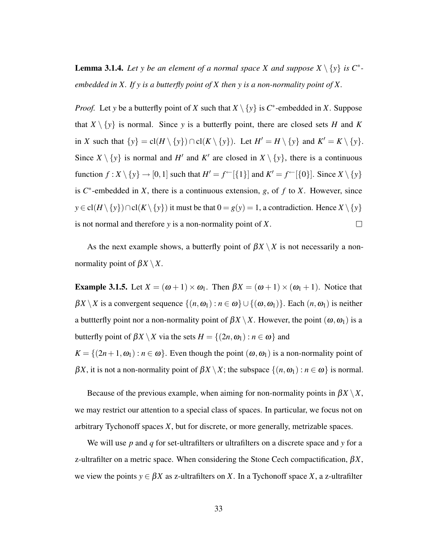<span id="page-32-0"></span>**Lemma 3.1.4.** Let y be an element of a normal space X and suppose  $X \setminus \{y\}$  is  $C^*$ *embedded in X. If y is a butterfly point of X then y is a non-normality point of X.*

*Proof.* Let *y* be a butterfly point of *X* such that  $X \setminus \{y\}$  is  $C^*$ -embedded in *X*. Suppose that  $X \setminus \{y\}$  is normal. Since y is a butterfly point, there are closed sets *H* and *K* in *X* such that  $\{y\} = cl(H \setminus \{y\}) \cap cl(K \setminus \{y\})$ . Let  $H' = H \setminus \{y\}$  and  $K' = K \setminus \{y\}$ . Since  $X \setminus \{y\}$  is normal and *H*<sup> $\prime$ </sup> and *K*<sup> $\prime$ </sup> are closed in  $X \setminus \{y\}$ , there is a continuous function  $f: X \setminus \{y\} \to [0,1]$  such that  $H' = f^{\leftarrow}[\{1\}]$  and  $K' = f^{\leftarrow}[\{0\}]$ . Since  $X \setminus \{y\}$ is  $C^*$ -embedded in *X*, there is a continuous extension, *g*, of *f* to *X*. However, since *y* ∈ cl(*H* \{*y*})∩cl(*K* \{*y*}) it must be that 0 = *g*(*y*) = 1, a contradiction. Hence *X* \{*y*} is not normal and therefore *y* is a non-normality point of *X*.  $\Box$ 

As the next example shows, a butterfly point of  $\beta X \setminus X$  is not necessarily a nonnormality point of  $\beta X \setminus X$ .

Example 3.1.5. Let  $X = (\omega + 1) \times \omega_1$ . Then  $\beta X = (\omega + 1) \times (\omega_1 + 1)$ . Notice that  $\beta X \setminus X$  is a convergent sequence  $\{(n, \omega_1) : n \in \omega\} \cup \{(\omega, \omega_1)\}\.$  Each  $(n, \omega_1)$  is neither a buttterfly point nor a non-normality point of  $\beta X \setminus X$ . However, the point  $(\omega, \omega_1)$  is a butterfly point of  $\beta X \setminus X$  via the sets  $H = \{(2n, \omega_1) : n \in \omega\}$  and  $K = \{(2n+1, \omega_1) : n \in \omega\}$ . Even though the point  $(\omega, \omega_1)$  is a non-normality point of β*X*, it is not a non-normality point of  $\beta X \setminus X$ ; the subspace  $\{(n, \omega_1) : n \in \omega\}$  is normal.

Because of the previous example, when aiming for non-normality points in  $\beta X \setminus X$ , we may restrict our attention to a special class of spaces. In particular, we focus not on arbitrary Tychonoff spaces *X*, but for discrete, or more generally, metrizable spaces.

We will use *p* and *q* for set-ultrafilters or ultrafilters on a discrete space and *y* for a z-ultrafilter on a metric space. When considering the Stone Cech compactification,  $\beta X$ , we view the points  $y \in \beta X$  as z-ultrafilters on X. In a Tychonoff space X, a z-ultrafilter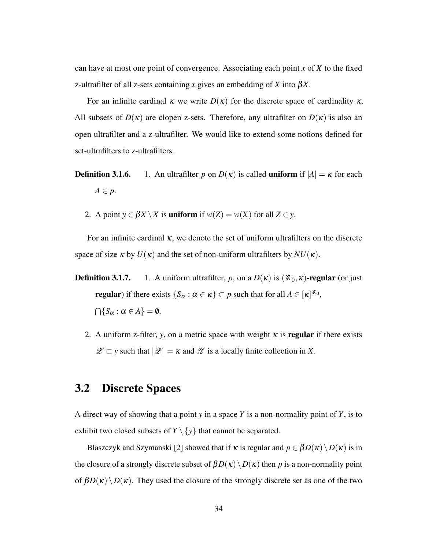<span id="page-33-1"></span>can have at most one point of convergence. Associating each point *x* of *X* to the fixed z-ultrafilter of all z-sets containing *x* gives an embedding of *X* into β*X*.

For an infinite cardinal  $\kappa$  we write  $D(\kappa)$  for the discrete space of cardinality  $\kappa$ . All subsets of  $D(\kappa)$  are clopen z-sets. Therefore, any ultrafilter on  $D(\kappa)$  is also an open ultrafilter and a z-ultrafilter. We would like to extend some notions defined for set-ultrafilters to z-ultrafilters.

- **Definition 3.1.6.** 1. An ultrafilter *p* on  $D(\kappa)$  is called **uniform** if  $|A| = \kappa$  for each  $A \in p$ .
	- 2. A point  $y \in \beta X \setminus X$  is **uniform** if  $w(Z) = w(X)$  for all  $Z \in y$ .

For an infinite cardinal  $\kappa$ , we denote the set of uniform ultrafilters on the discrete space of size  $\kappa$  by  $U(\kappa)$  and the set of non-uniform ultrafilters by  $NU(\kappa)$ .

- **Definition 3.1.7.** 1. A uniform ultrafilter, *p*, on a  $D(\kappa)$  is  $(\aleph_0, \kappa)$ -regular (or just **regular**) if there exists  $\{S_\alpha : \alpha \in \kappa\} \subset p$  such that for all  $A \in [\kappa]^{\aleph_0}$ ,  $\bigcap \{S_\alpha : \alpha \in A\} = \emptyset.$ 
	- 2. A uniform z-filter, *y*, on a metric space with weight  $\kappa$  is **regular** if there exists  $\mathscr{Z} \subset y$  such that  $|\mathscr{Z}| = \kappa$  and  $\mathscr{Z}$  is a locally finite collection in X.

### <span id="page-33-0"></span>3.2 Discrete Spaces

A direct way of showing that a point *y* in a space *Y* is a non-normality point of *Y*, is to exhibit two closed subsets of  $Y \setminus \{y\}$  that cannot be separated.

Blaszczyk and Szymanski [\[2\]](#page-49-8) showed that if  $\kappa$  is regular and  $p \in \beta D(\kappa) \setminus D(\kappa)$  is in the closure of a strongly discrete subset of  $\beta D(\kappa)\setminus D(\kappa)$  then *p* is a non-normality point of  $\beta D(\kappa) \setminus D(\kappa)$ . They used the closure of the strongly discrete set as one of the two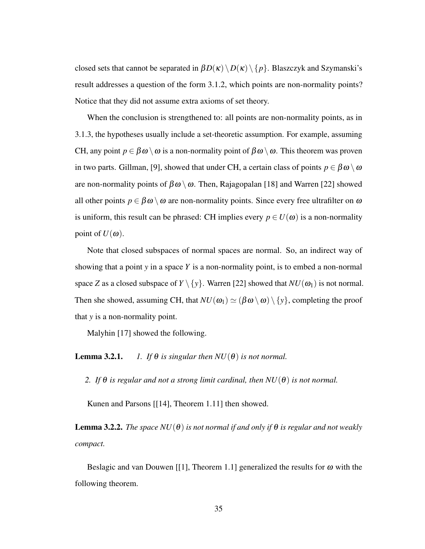<span id="page-34-0"></span>closed sets that cannot be separated in  $\beta D(\kappa) \setminus D(\kappa) \setminus \{p\}$ . Blaszczyk and Szymanski's result addresses a question of the form [3.1.2,](#page-31-2) which points are non-normality points? Notice that they did not assume extra axioms of set theory.

When the conclusion is strengthened to: all points are non-normality points, as in [3.1.3,](#page-31-3) the hypotheses usually include a set-theoretic assumption. For example, assuming CH, any point  $p \in \beta \omega \setminus \omega$  is a non-normality point of  $\beta \omega \setminus \omega$ . This theorem was proven in two parts. Gillman, [\[9\]](#page-49-9), showed that under CH, a certain class of points  $p \in \beta \omega \setminus \omega$ are non-normality points of  $\beta\omega \setminus \omega$ . Then, Rajagopalan [\[18\]](#page-50-3) and Warren [\[22\]](#page-50-4) showed all other points  $p \in \beta \omega \setminus \omega$  are non-normality points. Since every free ultrafilter on  $\omega$ is uniform, this result can be phrased: CH implies every  $p \in U(\omega)$  is a non-normality point of  $U(\omega)$ .

Note that closed subspaces of normal spaces are normal. So, an indirect way of showing that a point *y* in a space *Y* is a non-normality point, is to embed a non-normal space *Z* as a closed subspace of  $Y \setminus \{y\}$ . Warren [\[22\]](#page-50-4) showed that  $NU(\omega_1)$  is not normal. Then she showed, assuming CH, that  $NU(\omega_1) \simeq (\beta \omega \setminus \omega) \setminus \{y\}$ , completing the proof that *y* is a non-normality point.

Malyhin [\[17\]](#page-50-5) showed the following.

**Lemma 3.2.1.** *1. If*  $\theta$  *is singular then*  $NU(\theta)$  *is not normal.* 

*2. If*  $\theta$  *is regular and not a strong limit cardinal, then*  $NU(\theta)$  *is not normal.* 

Kunen and Parsons [[\[14\]](#page-50-6), Theorem 1.11] then showed.

**Lemma 3.2.2.** *The space*  $NU(\theta)$  *is not normal if and only if*  $\theta$  *is regular and not weakly compact.*

Beslagic and van Douwen [[\[1\]](#page-49-10), Theorem 1.1] generalized the results for  $\omega$  with the following theorem.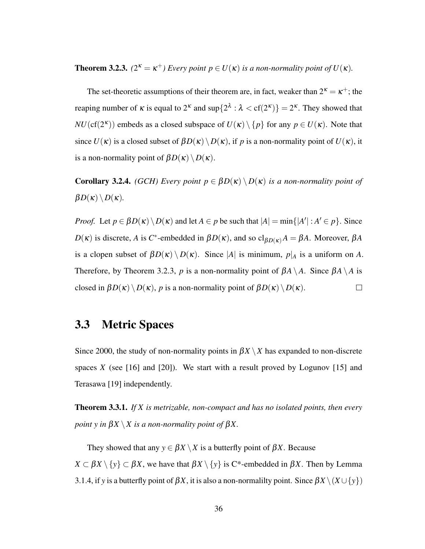<span id="page-35-3"></span><span id="page-35-1"></span>**Theorem 3.2.3.**  $(2^{\kappa} = \kappa^+)$  Every point  $p \in U(\kappa)$  is a non-normality point of  $U(\kappa)$ .

The set-theoretic assumptions of their theorem are, in fact, weaker than  $2^k = \kappa^+$ ; the reaping number of  $\kappa$  is equal to  $2^{\kappa}$  and  $\sup\{2^{\lambda} : \lambda < \text{cf}(2^{\kappa})\} = 2^{\kappa}$ . They showed that *NU*(cf( $2^k$ )) embeds as a closed subspace of  $U(\kappa) \setminus \{p\}$  for any  $p \in U(\kappa)$ . Note that since  $U(\kappa)$  is a closed subset of  $\beta D(\kappa) \setminus D(\kappa)$ , if p is a non-normality point of  $U(\kappa)$ , it is a non-normality point of  $\beta D(\kappa) \setminus D(\kappa)$ .

**Corollary 3.2.4.** *(GCH)* Every point  $p \in \beta D(\kappa) \setminus D(\kappa)$  *is a non-normality point of*  $\beta D(\kappa) \setminus D(\kappa)$ .

*Proof.* Let  $p \in \beta D(\kappa) \setminus D(\kappa)$  and let  $A \in p$  be such that  $|A| = \min\{|A'| : A' \in p\}$ . Since  $D(\kappa)$  is discrete, *A* is *C*<sup>\*</sup>-embedded in  $\beta D(\kappa)$ , and so  $cl_{\beta D(\kappa)}A = \beta A$ . Moreover,  $\beta A$ is a clopen subset of  $\beta D(\kappa) \setminus D(\kappa)$ . Since |A| is minimum,  $p|_A$  is a uniform on A. Therefore, by Theorem [3.2.3,](#page-35-1) *p* is a non-normality point of  $\beta A \setminus A$ . Since  $\beta A \setminus A$  is closed in  $\beta D(\kappa) \setminus D(\kappa)$ , *p* is a non-normality point of  $\beta D(\kappa) \setminus D(\kappa)$ .  $\Box$ 

### <span id="page-35-0"></span>3.3 Metric Spaces

Since 2000, the study of non-normality points in  $\beta X \setminus X$  has expanded to non-discrete spaces *X* (see [\[16\]](#page-50-7) and [\[20\]](#page-50-8)). We start with a result proved by Logunov [\[15\]](#page-50-9) and Terasawa [\[19\]](#page-50-10) independently.

<span id="page-35-2"></span>Theorem 3.3.1. *If X is metrizable, non-compact and has no isolated points, then every point y in*  $\beta X \setminus X$  *is a non-normality point of*  $\beta X$ .

They showed that any  $y \in \beta X \setminus X$  is a butterfly point of  $\beta X$ . Because  $X \subset \beta X \setminus \{y\} \subset \beta X$ , we have that  $\beta X \setminus \{y\}$  is C\*-embedded in  $\beta X$ . Then by Lemma [3.1.4,](#page-32-0) if *y* is a butterfly point of  $\beta X$ , it is also a non-normalilty point. Since  $\beta X \setminus (X \cup \{y\})$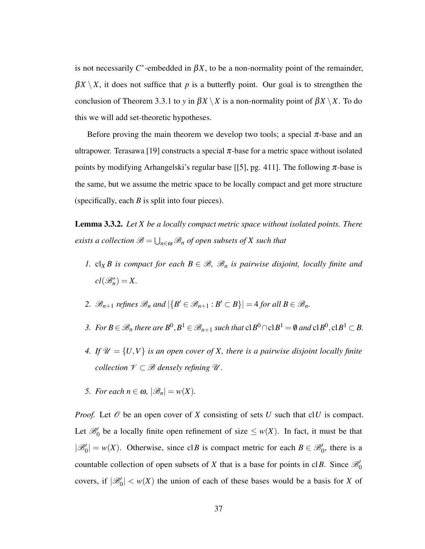<span id="page-36-1"></span>is not necessarily  $C^*$ -embedded in  $\beta X$ , to be a non-normality point of the remainder,  $\beta X \setminus X$ , it does not suffice that *p* is a butterfly point. Our goal is to strengthen the conclusion of Theorem [3.3.1](#page-35-2) to *y* in  $\beta X \setminus X$  is a non-normality point of  $\beta X \setminus X$ . To do this we will add set-theoretic hypotheses.

Before proving the main theorem we develop two tools; a special  $\pi$ -base and an ultrapower. Terasawa [\[19\]](#page-50-10) constructs a special  $\pi$ -base for a metric space without isolated points by modifying Arhangelski's regular base [[\[5\]](#page-49-0), pg. 411]. The following  $\pi$ -base is the same, but we assume the metric space to be locally compact and get more structure (specifically, each *B* is split into four pieces).

<span id="page-36-0"></span>Lemma 3.3.2. *Let X be a locally compact metric space without isolated points. There*  $e$ xists a collection  $\mathscr{B} = \bigcup_{n \in \omega} \mathscr{B}_n$  of open subsets of  $X$  such that

- *1.* cl<sub>*X*</sub> *B is compact for each*  $B \in \mathcal{B}$ *,*  $\mathcal{B}_n$  *is pairwise disjoint, locally finite and*  $cl(\mathscr{B}_n^*)=X.$
- 2.  $\mathscr{B}_{n+1}$  *refines*  $\mathscr{B}_n$  *and*  $|\{B' \in \mathscr{B}_{n+1} : B' \subset B\}| = 4$  *for all*  $B \in \mathscr{B}_n$ *.*
- 3. For  $B \in \mathscr{B}_n$  there are  $B^0, B^1 \in \mathscr{B}_{n+1}$  such that  $c|B^0 \cap c|B^1 = \emptyset$  and  $c|B^0, c|B^1 \subset B$ .
- *4.* If  $\mathcal{U} = \{U, V\}$  *is an open cover of X, there is a pairwise disjoint locally finite collection*  $V \subset B$  *densely refining*  $U$ *.*
- *5. For each*  $n \in \omega$ ,  $|\mathcal{B}_n| = w(X)$ .

*Proof.* Let  $\mathcal O$  be an open cover of *X* consisting of sets *U* such that cl*U* is compact. Let  $\mathcal{B}'_0$  be a locally finite open refinement of size  $\leq w(X)$ . In fact, it must be that  $|\mathscr{B}'_0| = w(X)$ . Otherwise, since cl*B* is compact metric for each  $B \in \mathscr{B}'_0$ , there is a countable collection of open subsets of *X* that is a base for points in cl*B*. Since  $\mathcal{B}'_0$ covers, if  $|\mathcal{B}'_0| < w(X)$  the union of each of these bases would be a basis for *X* of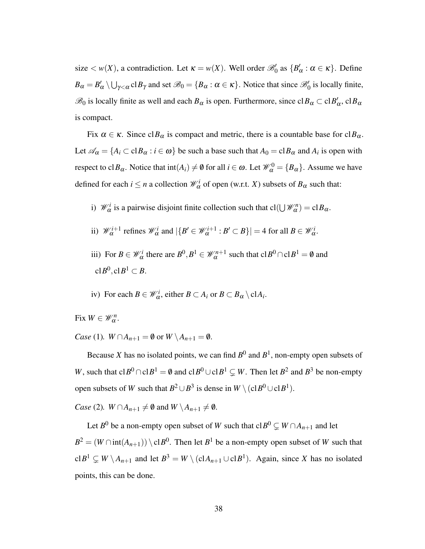size  $< w(X)$ , a contradiction. Let  $\kappa = w(X)$ . Well order  $\mathcal{B}'_0$  as  $\{B'_0\}$  $\alpha'$  :  $\alpha \in \kappa$ . Define  $B_{\alpha} = B'_{\alpha} \setminus \bigcup_{\gamma < \alpha} c \mid B_{\gamma}$  and set  $\mathscr{B}_{0} = \{B_{\alpha} : \alpha \in \kappa\}$ . Notice that since  $\mathscr{B}'_{0}$  is locally finite,  $\mathscr{B}_0$  is locally finite as well and each  $B_\alpha$  is open. Furthermore, since  $\text{cl}B_\alpha \subset \text{cl}B'_\alpha$ α , cl*B*<sup>α</sup> is compact.

Fix  $\alpha \in \kappa$ . Since cl $B_{\alpha}$  is compact and metric, there is a countable base for cl $B_{\alpha}$ . Let  $\mathscr{A}_{\alpha} = \{A_i \subset \text{cl} B_{\alpha} : i \in \omega\}$  be such a base such that  $A_0 = \text{cl} B_{\alpha}$  and  $A_i$  is open with respect to cl $B_{\alpha}$ . Notice that  $\text{int}(A_i) \neq \emptyset$  for all  $i \in \omega$ . Let  $\mathcal{W}_{\alpha}^0 = \{B_{\alpha}\}\.$  Assume we have defined for each  $i \le n$  a collection  $\mathcal{W}^i_\alpha$  of open (w.r.t. *X*) subsets of  $B_\alpha$  such that:

- i)  $\mathcal{W}_{\alpha}^{i}$  is a pairwise disjoint finite collection such that  $cl(\bigcup \mathcal{W}_{\alpha}^{n}) = cl B_{\alpha}$ .
- ii)  $\mathcal{W}_{\alpha}^{i+1}$  refines  $\mathcal{W}_{\alpha}^{i}$  and  $|\{B' \in \mathcal{W}_{\alpha}^{i+1} : B' \subset B\}| = 4$  for all  $B \in \mathcal{W}_{\alpha}^{i}$ .
- iii) For  $B \in \mathcal{W}_\alpha^i$  there are  $B^0, B^1 \in \mathcal{W}_\alpha^{n+1}$  such that  $c|B^0 \cap c|B^1 = \emptyset$  and  $clB^0, clB^1 \subset B.$
- iv) For each  $B \in \mathcal{W}_{\alpha}^i$ , either  $B \subset A_i$  or  $B \subset B_{\alpha} \setminus \text{cl} A_i$ .

Fix  $W \in \mathscr{W}_{\alpha}^n$ .

*Case* (1)*. W*  $\cap$ *A*<sub>*n*+1</sub> =  $\emptyset$  or *W*  $\setminus$ *A*<sub>*n*+1</sub> =  $\emptyset$ *.* 

Because *X* has no isolated points, we can find  $B^0$  and  $B^1$ , non-empty open subsets of *W*, such that  $clB^0 \cap clB^1 = \emptyset$  and  $clB^0 \cup clB^1 \subsetneq W$ . Then let  $B^2$  and  $B^3$  be non-empty open subsets of *W* such that  $B^2 \cup B^3$  is dense in  $W \setminus (c1B^0 \cup c1B^1)$ .

*Case* (2)*. W*  $\cap$ *A*<sub>*n*+1</sub>  $\neq$  **0** and *W*  $\setminus$ *A*<sub>*n*+1</sub>  $\neq$  **0***.* 

Let  $B^0$  be a non-empty open subset of  $W$  such that  $\mathrm{cl}B^0\subsetneq W\cap A_{n+1}$  and let  $B^2 = (W \cap \text{int}(A_{n+1})) \setminus \text{cl} B^0$ . Then let  $B^1$  be a non-empty open subset of *W* such that  $clB^1 \subsetneq W \setminus A_{n+1}$  and let  $B^3 = W \setminus (clA_{n+1} \cup clB^1)$ . Again, since *X* has no isolated points, this can be done.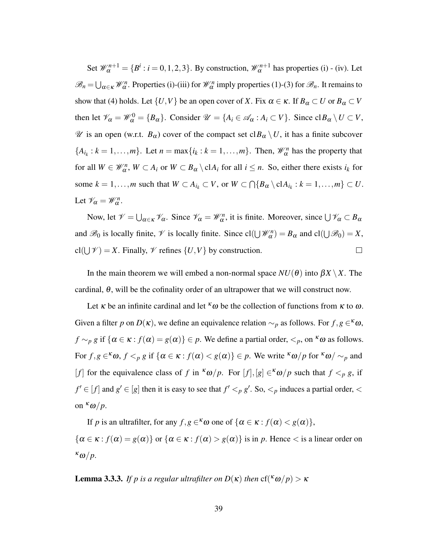Set  $\mathcal{W}_{\alpha}^{n+1} = \{B^i : i = 0, 1, 2, 3\}$ . By construction,  $\mathcal{W}_{\alpha}^{n+1}$  has properties (i) - (iv). Let  $\mathscr{B}_n = \bigcup_{\alpha \in \kappa} \mathscr{W}_{\alpha}^n$ . Properties (i)-(iii) for  $\mathscr{W}_{\alpha}^n$  imply properties (1)-(3) for  $\mathscr{B}_n$ . It remains to show that (4) holds. Let  $\{U, V\}$  be an open cover of *X*. Fix  $\alpha \in \kappa$ . If  $B_{\alpha} \subset U$  or  $B_{\alpha} \subset V$ then let  $\mathcal{V}_{\alpha} = \mathcal{W}_{\alpha}^{0} = \{B_{\alpha}\}\$ . Consider  $\mathcal{U} = \{A_{i} \in \mathcal{A}_{\alpha} : A_{i} \subset V\}$ . Since  $\text{cl}B_{\alpha} \setminus U \subset V$ ,  $\mathscr U$  is an open (w.r.t.  $B_\alpha$ ) cover of the compact set cl $B_\alpha \setminus U$ , it has a finite subcover  ${A_i_k : k = 1, ..., m}$ . Let  $n = \max\{i_k : k = 1, ..., m\}$ . Then,  $\mathcal{W}_{\alpha}^n$  has the property that for all  $W \in \mathcal{W}_{\alpha}^n$ ,  $W \subset A_i$  or  $W \subset B_{\alpha} \setminus \text{cl} A_i$  for all  $i \leq n$ . So, either there exists  $i_k$  for some  $k = 1, ..., m$  such that  $W \subset A_{i_k} \subset V$ , or  $W \subset \bigcap \{B_\alpha \setminus \text{cl}A_{i_k} : k = 1, ..., m\} \subset U$ . Let  $\mathcal{V}_{\alpha} = \mathcal{W}_{\alpha}^n$ .

Now, let  $\mathcal{V} = \bigcup_{\alpha \in \kappa} \mathcal{V}_{\alpha}$ . Since  $\mathcal{V}_{\alpha} = \mathcal{W}_{\alpha}^n$ , it is finite. Moreover, since  $\bigcup \mathcal{V}_{\alpha} \subset B_{\alpha}$ and  $\mathscr{B}_0$  is locally finite,  $\mathscr{V}$  is locally finite. Since  $cl(\bigcup \mathscr{W}_{\alpha}^n) = B_{\alpha}$  and  $cl(\bigcup \mathscr{B}_0) = X$ ,  $cl(\bigcup \mathcal{V}) = X$ . Finally,  $\mathcal{V}$  refines  $\{U, V\}$  by construction.  $\Box$ 

In the main theorem we will embed a non-normal space  $NU(\theta)$  into  $\beta X \setminus X$ . The cardinal,  $\theta$ , will be the cofinality order of an ultrapower that we will construct now.

Let  $\kappa$  be an infinite cardinal and let  $\kappa \omega$  be the collection of functions from  $\kappa$  to  $\omega$ . Given a filter *p* on  $D(\kappa)$ , we define an equivalence relation  $\sim_p$  as follows. For  $f, g \in \kappa \omega$ ,  $f \sim_p g$  if  $\{\alpha \in \kappa : f(\alpha) = g(\alpha)\}\in p$ . We define a partial order,  $\lt_p$ , on  $\kappa \omega$  as follows. For  $f, g \in \kappa \omega$ ,  $f \leq_p g$  if  $\{\alpha \in \kappa : f(\alpha) < g(\alpha)\} \in p$ . We write  $\kappa \omega/p$  for  $\kappa \omega / \sim_p \omega$ [*f*] for the equivalence class of *f* in  $\kappa \omega / p$ . For [*f*], [*g*]  $\in \kappa \omega / p$  such that  $f \leq_p g$ , if  $f' \in [f]$  and  $g' \in [g]$  then it is easy to see that  $f' <_p g'$ . So,  $\lt_p$  induces a partial order,  $\lt$ on  $\kappa \omega / p$ .

If *p* is an ultrafilter, for any  $f, g \in \kappa \omega$  one of  $\{\alpha \in \kappa : f(\alpha) < g(\alpha)\}\,$ ,  $\{\alpha \in \kappa : f(\alpha) = g(\alpha)\}\$  or  $\{\alpha \in \kappa : f(\alpha) > g(\alpha)\}\$ is in *p*. Hence < is a linear order on <sup>κ</sup>ω/*p*.

<span id="page-38-0"></span>**Lemma 3.3.3.** *If p is a regular ultrafilter on*  $D(\kappa)$  *then*  $cf({\kappa \omega}/{p}) > \kappa$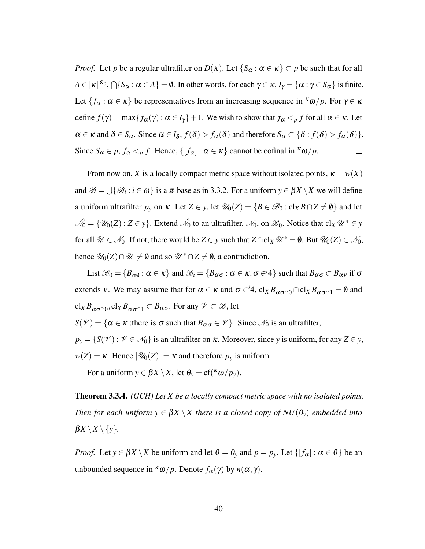*Proof.* Let *p* be a regular ultrafilter on  $D(\kappa)$ . Let  $\{S_\alpha : \alpha \in \kappa\} \subset p$  be such that for all  $A \in [\kappa]^{\aleph_0}, \bigcap \{S_\alpha : \alpha \in A\} = \emptyset$ . In other words, for each  $\gamma \in \kappa$ ,  $I_\gamma = \{\alpha : \gamma \in S_\alpha\}$  is finite. Let  $\{f_\alpha : \alpha \in \kappa\}$  be representatives from an increasing sequence in <sup> $\kappa \omega/p$ . For  $\gamma \in \kappa$ </sup> define  $f(\gamma) = \max\{f_\alpha(\gamma) : \alpha \in I_\gamma\} + 1$ . We wish to show that  $f_\alpha <_\rho f$  for all  $\alpha \in \kappa$ . Let  $\alpha \in \kappa$  and  $\delta \in S_\alpha$ . Since  $\alpha \in I_\delta$ ,  $f(\delta) > f_\alpha(\delta)$  and therefore  $S_\alpha \subset \{\delta : f(\delta) > f_\alpha(\delta)\}.$ Since  $S_\alpha \in p$ ,  $f_\alpha <_p f$ . Hence,  $\{[f_\alpha] : \alpha \in \kappa\}$  cannot be cofinal in  $\kappa \omega/p$ .  $\Box$ 

From now on, *X* is a locally compact metric space without isolated points,  $\kappa = w(X)$ and  $\mathscr{B} = \bigcup \{ \mathscr{B}_i : i \in \omega \}$  is a  $\pi$ -base as in [3.3.2.](#page-36-0) For a uniform  $y \in \beta X \setminus X$  we will define a uniform ultrafilter  $p_y$  on  $\kappa$ . Let  $Z \in y$ , let  $\mathcal{U}_0(Z) = \{ B \in \mathcal{B}_0 : cl_X B \cap Z \neq \emptyset \}$  and let  $\hat{\mathcal{N}_0} = \{\mathscr{U}_0(Z) : Z \in y\}$ . Extend  $\hat{\mathcal{N}_0}$  to an ultrafilter,  $\mathcal{N}_0$ , on  $\mathscr{B}_0$ . Notice that cl<sub>X</sub>  $\mathscr{U}^* \in y$ for all  $\mathcal{U} \in \mathcal{N}_0$ . If not, there would be  $Z \in y$  such that  $Z \cap \text{cl}_X \mathcal{U}^* = \emptyset$ . But  $\mathcal{U}_0(Z) \in \mathcal{N}_0$ , hence  $\mathcal{U}_0(Z) \cap \mathcal{U} \neq \emptyset$  and so  $\mathcal{U}^* \cap Z \neq \emptyset$ , a contradiction.

List  $\mathscr{B}_0 = \{B_{\alpha\emptyset} : \alpha \in \kappa\}$  and  $\mathscr{B}_i = \{B_{\alpha\sigma} : \alpha \in \kappa, \sigma \in \mathscr{A}\}\$  such that  $B_{\alpha\sigma} \subset B_{\alpha\nu}$  if  $\sigma$ extends v. We may assume that for  $\alpha \in \kappa$  and  $\sigma \in {^i}4$ ,  $cl_X B_{\alpha\sigma^0} \cap cl_X B_{\alpha\sigma^0} = \emptyset$  and  $\operatorname{cl}_X B_{\alpha\sigma^\frown 0}$ ,  $\operatorname{cl}_X B_{\alpha\sigma^\frown 1} \subset B_{\alpha\sigma}$ . For any  $\mathscr{V} \subset \mathscr{B}$ , let *S*( $\mathcal{V}$ ) = { $\alpha \in \kappa$  :there is  $\sigma$  such that  $B_{\alpha\sigma} \in \mathcal{V}$ }. Since  $\mathcal{N}_0$  is an ultrafilter,  $p_y = \{S(\mathcal{V}) : \mathcal{V} \in \mathcal{N}_0\}$  is an ultrafilter on  $\kappa$ . Moreover, since *y* is uniform, for any  $Z \in y$ ,

 $w(Z) = \kappa$ . Hence  $|\mathcal{U}_0(Z)| = \kappa$  and therefore  $p_y$  is uniform.

For a uniform  $y \in \beta X \setminus X$ , let  $\theta_y = cf({\kappa \omega / p_y})$ .

<span id="page-39-0"></span>Theorem 3.3.4. *(GCH) Let X be a locally compact metric space with no isolated points. Then for each uniform*  $y \in \beta X \setminus X$  *there is a closed copy of*  $NU(\theta_y)$  *embedded into*  $\beta X \setminus X \setminus \{y\}.$ 

*Proof.* Let  $y \in \beta X \setminus X$  be uniform and let  $\theta = \theta_y$  and  $p = p_y$ . Let  $\{[f_\alpha] : \alpha \in \theta\}$  be an unbounded sequence in  $\kappa \omega / p$ . Denote  $f_{\alpha}(\gamma)$  by  $n(\alpha, \gamma)$ .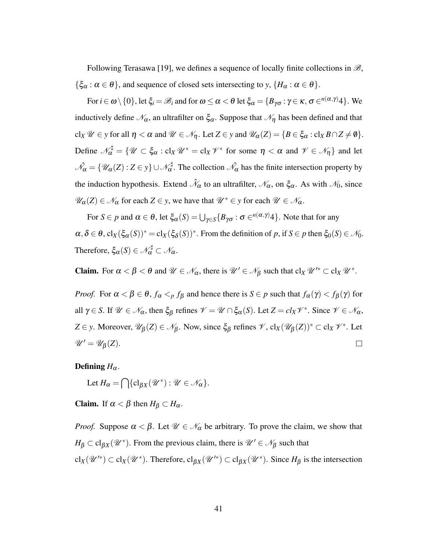<span id="page-40-0"></span>Following Terasawa [\[19\]](#page-50-10), we defines a sequence of locally finite collections in  $\mathscr{B}$ ,  $\{\xi_\alpha : \alpha \in \theta\}$ , and sequence of closed sets intersecting to *y*,  $\{H_\alpha : \alpha \in \theta\}$ .

For  $i \in \omega \setminus \{0\}$ , let  $\xi_i = \mathscr{B}_i$  and for  $\omega \leq \alpha < \theta$  let  $\xi_\alpha = \{B_{\gamma \sigma} : \gamma \in \kappa, \sigma \in^{n(\alpha, \gamma)}4\}$ . We inductively define  $\mathcal{N}_{\alpha}$ , an ultrafilter on  $\xi_{\alpha}$ . Suppose that  $\mathcal{N}_{\eta}$  has been defined and that  $cl_X \mathscr{U} \in \mathcal{Y}$  for all  $\eta < \alpha$  and  $\mathscr{U} \in \mathscr{N}_{\eta}$ . Let  $Z \in \mathcal{Y}$  and  $\mathscr{U}_{\alpha}(Z) = \{B \in \xi_{\alpha} : cl_X B \cap Z \neq \emptyset\}.$ Define  $\mathscr{N}_{\alpha}^{\sharp} = \{ \mathscr{U} \subset \xi_{\alpha} : \operatorname{cl}_X \mathscr{U}^* = \operatorname{cl}_X \mathscr{V}^* \text{ for some } \eta < \alpha \text{ and } \mathscr{V} \in \mathscr{N}_{\eta} \}$  and let  $\hat{\mathcal{N}_{\alpha}} = \{\mathscr{U}_{\alpha}(Z) : Z \in y\} \cup \hat{\mathcal{N}_{\alpha}^{\sharp}}$ . The collection  $\hat{\mathcal{N}_{\alpha}}$  has the finite intersection property by the induction hypothesis. Extend  $\hat{\mathcal{N}}_\alpha$  to an ultrafilter,  $\mathcal{N}_\alpha$ , on  $\xi_\alpha$ . As with  $\mathcal{N}_0$ , since  $\mathscr{U}_{\alpha}(Z) \in \mathscr{N}_{\alpha}$  for each  $Z \in y$ , we have that  $\mathscr{U}^* \in y$  for each  $\mathscr{U} \in \mathscr{N}_{\alpha}$ .

For  $S \in p$  and  $\alpha \in \theta$ , let  $\xi_{\alpha}(S) = \bigcup_{\gamma \in S} \{B_{\gamma \sigma} : \sigma \in^{n(\alpha, \gamma)} 4\}$ . Note that for any  $\alpha, \delta \in \theta$ ,  $\text{cl}_X(\xi_\alpha(S))^* = \text{cl}_X(\xi_\delta(S))^*$ . From the definition of *p*, if  $S \in p$  then  $\xi_0(S) \in \mathcal{N}_0$ . Therefore,  $\xi_{\alpha}(S) \in \mathscr{N}_{\alpha}^{\sharp} \subset \mathscr{N}_{\alpha}$ .

**Claim.** For  $\alpha < \beta < \theta$  and  $\mathcal{U} \in \mathcal{N}_{\alpha}$ , there is  $\mathcal{U}' \in \mathcal{N}_{\beta}$  such that  $cl_X \mathcal{U}'^* \subset cl_X \mathcal{U}^*$ .

*Proof.* For  $\alpha < \beta \in \theta$ ,  $f_{\alpha} <_{p} f_{\beta}$  and hence there is  $S \in p$  such that  $f_{\alpha}(\gamma) < f_{\beta}(\gamma)$  for all  $\gamma \in S$ . If  $\mathscr{U} \in \mathscr{N}_{\alpha}$ , then  $\xi_{\beta}$  refines  $\mathscr{V} = \mathscr{U} \cap \xi_{\alpha}(S)$ . Let  $Z = cl_X \mathscr{V}^*$ . Since  $\mathscr{V} \in \mathscr{N}_{\alpha}$ ,  $Z \in y$ . Moreover,  $\mathscr{U}_{\beta}(Z) \in \mathscr{N}_{\beta}$ . Now, since  $\xi_{\beta}$  refines  $\mathscr{V}$ ,  $\text{cl}_X(\mathscr{U}_{\beta}(Z))^* \subset \text{cl}_X \mathscr{V}^*$ . Let  $\mathscr{U}' = \mathscr{U}_{\beta}(Z).$  $\Box$ 

Defining  $H_{\alpha}$ .

Let  $H_{\alpha} = \bigcap \{ \mathrm{cl}_{\beta X}(\mathscr{U}^*) : \mathscr{U} \in \mathscr{N}_{\alpha} \}.$ 

**Claim.** If  $\alpha < \beta$  then  $H_{\beta} \subset H_{\alpha}$ .

*Proof.* Suppose  $\alpha < \beta$ . Let  $\mathcal{U} \in \mathcal{N}_{\alpha}$  be arbitrary. To prove the claim, we show that  $H_{\beta} \subset \text{cl}_{\beta X}(\mathcal{U}^*)$ . From the previous claim, there is  $\mathcal{U}' \in \mathcal{N}_{\beta}$  such that cl<sub>*X*</sub>( $\mathscr{U}'^*$ ) ⊂ cl<sub>*X*</sub>( $\mathscr{U}^*$ ). Therefore, cl<sub>*βX</sub>*( $\mathscr{U}'^*$ ) ⊂ cl<sub>*βX*</sub>( $\mathscr{U}^*$ ). Since *H<sub>β</sub>* is the intersection</sub>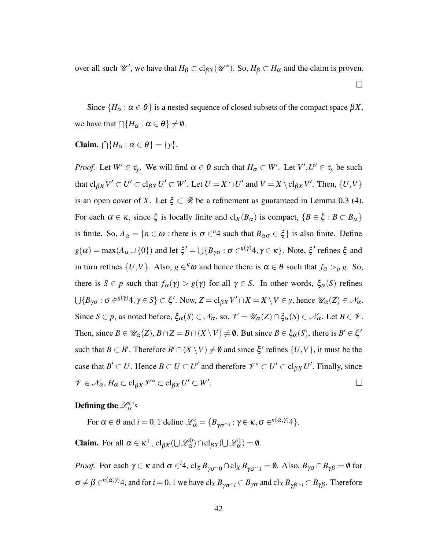over all such  $\mathscr{U}'$ , we have that  $H_{\beta} \subset cl_{\beta X}(\mathscr{U}^*)$ . So,  $H_{\beta} \subset H_{\alpha}$  and the claim is proven.

 $\Box$ 

Since  $\{H_{\alpha}: \alpha \in \theta\}$  is a nested sequence of closed subsets of the compact space  $\beta X$ , we have that  $\bigcap \{H_\alpha : \alpha \in \theta\} \neq \emptyset$ .

Claim.  $\bigcap \{H_\alpha : \alpha \in \theta\} = \{y\}.$ 

*Proof.* Let  $W' \in \tau_y$ . We will find  $\alpha \in \theta$  such that  $H_\alpha \subset W'$ . Let  $V', U' \in \tau_y$  be such that  $\text{cl}_{\beta X}V' \subset U' \subset \text{cl}_{\beta X}U' \subset W'$ . Let  $U = X \cap U'$  and  $V = X \setminus \text{cl}_{\beta X}V'$ . Then,  $\{U, V\}$ is an open cover of *X*. Let  $\xi \subset \mathcal{B}$  be a refinement as guaranteed in Lemma 0.3 (4). For each  $\alpha \in \kappa$ , since  $\xi$  is locally finite and  $cl_X(B_\alpha)$  is compact,  $\{B \in \xi : B \subset B_\alpha\}$ is finite. So,  $A_{\alpha} = \{ n \in \omega : \text{there is } \sigma \in \alpha^2 + \text{ such that } B_{\alpha\sigma} \in \xi \}$  is also finite. Define  $g(\alpha) = \max(A_\alpha \cup \{0\})$  and let  $\xi' = \bigcup \{B_{\gamma \sigma} : \sigma \in^{g(\gamma)} 4, \gamma \in \kappa\}$ . Note,  $\xi'$  refines  $\xi$  and in turn refines  $\{U,V\}$ . Also,  $g \in \kappa \omega$  and hence there is  $\alpha \in \theta$  such that  $f_{\alpha} >_{p} g$ . So, there is  $S \in p$  such that  $f_\alpha(\gamma) > g(\gamma)$  for all  $\gamma \in S$ . In other words,  $\xi_\alpha(S)$  refines  $\bigcup \{B_{\gamma\sigma} : \sigma \in^{\mathcal{S}(\gamma)} 4, \gamma \in S\} \subset \xi'.$  Now,  $Z = \text{cl}_{\beta X} V' \cap X = X \setminus V \in \mathcal{Y}$ , hence  $\mathscr{U}_{\alpha}(Z) \in \mathscr{N}_{\alpha}.$ Since  $S \in p$ , as noted before,  $\xi_{\alpha}(S) \in \mathcal{N}_{\alpha}$ , so,  $\mathcal{V} = \mathcal{U}_{\alpha}(Z) \cap \xi_{\alpha}(S) \in \mathcal{N}_{\alpha}$ . Let  $B \in \mathcal{V}$ . Then, since  $B \in \mathscr{U}_{\alpha}(Z), B \cap Z = B \cap (X \setminus V) \neq \emptyset$ . But since  $B \in \xi_{\alpha}(S)$ , there is  $B' \in \xi'$ such that  $B \subset B'$ . Therefore  $B' \cap (X \setminus V) \neq \emptyset$  and since  $\xi'$  refines  $\{U, V\}$ , it must be the case that  $B' \subset U$ . Hence  $B \subset U \subset U'$  and therefore  $\mathcal{V}^* \subset U' \subset cl_{\beta X} U'$ . Finally, since  $\mathscr{V} \in \mathscr{N}_{\alpha}, H_{\alpha} \subset \text{cl}_{\beta X} \mathscr{V}^* \subset \text{cl}_{\beta X} U' \subset W'.$  $\Box$ 

**Defining the**  $\mathscr{L}_{\alpha}^{i}$ **'s** 

For  $\alpha \in \theta$  and  $i = 0, 1$  define  $\mathcal{L}_{\alpha}^{i} = \{B_{\gamma \sigma \cap i} : \gamma \in \kappa, \sigma \in (a, \gamma)4\}.$ 

**Claim.** For all  $\alpha \in \kappa^+$ ,  $cl_{\beta X}(\bigcup \mathcal{L}_{\alpha}^0) \cap cl_{\beta X}(\bigcup \mathcal{L}_{\alpha}^1) = \emptyset$ .

*Proof.* For each  $\gamma \in \kappa$  and  $\sigma \in^i 4$ ,  $cl_X B_{\gamma\sigma^\frown 0} \cap cl_X B_{\gamma\sigma^\frown 1} = \emptyset$ . Also,  $B_{\gamma\sigma} \cap B_{\gamma\beta} = \emptyset$  for  $\sigma \neq \beta \in^{n(\alpha, \gamma)}$ 4, and for  $i = 0, 1$  we have  $\text{cl}_X B_{\gamma \sigma^\frown i} \subset B_{\gamma \sigma}$  and  $\text{cl}_X B_{\gamma \beta^\frown i} \subset B_{\gamma \beta}$ . Therefore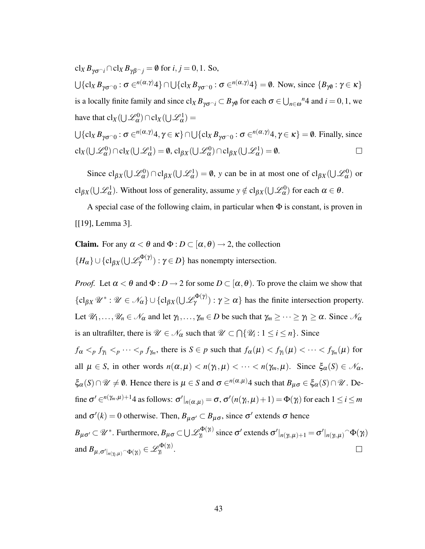<span id="page-42-0"></span> $cl_X B_{\gamma \sigma \gamma i} \cap cl_X B_{\gamma \beta \gamma j} = \emptyset$  for *i*, *j* = 0, 1. So,  $\bigcup \{cl_X B_{\gamma \sigma \cap 0} : \sigma \in^{n(\alpha, \gamma)} 4 \} \cap \bigcup \{cl_X B_{\gamma \sigma \cap 0} : \sigma \in^{n(\alpha, \gamma)} 4 \} = \emptyset$ . Now, since  $\{B_{\gamma \emptyset} : \gamma \in \kappa\}$ is a locally finite family and since  $cl_X B_{\gamma\sigma^\frown i} \subset B_{\gamma\emptyset}$  for each  $\sigma \in \bigcup_{n \in \omega} n^4$  and  $i = 0, 1$ , we have that  $\text{cl}_X(\bigcup \mathcal{L}_{\alpha}^0) \cap \text{cl}_X(\bigcup \mathcal{L}_{\alpha}^1) =$ 

$$
\bigcup \{cl_X B_{\gamma\sigma \cap 0} : \sigma \in^{n(\alpha,\gamma)} 4, \gamma \in \kappa\} \cap \bigcup \{cl_X B_{\gamma\sigma \cap 0} : \sigma \in^{n(\alpha,\gamma)} 4, \gamma \in \kappa\} = \emptyset. \text{ Finally, since}
$$
  

$$
cl_X(\bigcup \mathcal{L}_{\alpha}^{0}) \cap cl_X(\bigcup \mathcal{L}_{\alpha}^{1}) = \emptyset, cl_{\beta X}(\bigcup \mathcal{L}_{\alpha}^{0}) \cap cl_{\beta X}(\bigcup \mathcal{L}_{\alpha}^{1}) = \emptyset. \qquad \Box
$$

Since  $cl_{\beta X}(\bigcup \mathcal{L}_{\alpha}^0) \cap cl_{\beta X}(\bigcup \mathcal{L}_{\alpha}^1) = \emptyset$ , *y* can be in at most one of  $cl_{\beta X}(\bigcup \mathcal{L}_{\alpha}^0)$  or cl<sub>βX</sub>( $\bigcup \mathcal{L}_{\alpha}^{1}$ ). Without loss of generality, assume  $y \notin \text{cl}_{\beta X}(\bigcup \mathcal{L}_{\alpha}^{0})$  for each  $\alpha \in \theta$ .

A special case of the following claim, in particular when Φ is constant, is proven in [[\[19\]](#page-50-10), Lemma 3].

**Claim.** For any  $\alpha < \theta$  and  $\Phi : D \subset [\alpha, \theta) \rightarrow 2$ , the collection  ${H_{\alpha}}\cup {c1_{\beta X}}(\cup \mathcal{L}_{\gamma}^{\Phi(\gamma)}): \gamma \in D$ } has nonempty intersection.

*Proof.* Let  $\alpha < \theta$  and  $\Phi : D \to 2$  for some  $D \subset [\alpha, \theta)$ . To prove the claim we show that  $\{\operatorname{cl}_{\beta X} \mathscr{U}^* : \mathscr{U} \in \mathscr{N}_{\alpha}\} \cup \{\operatorname{cl}_{\beta X}(\bigcup \mathscr{L}_{\gamma}^{\Phi(\gamma)}): \gamma \geq \alpha\}$  has the finite intersection property. Let  $\mathcal{U}_1,\ldots,\mathcal{U}_n \in \mathcal{N}_{\alpha}$  and let  $\gamma_1,\ldots,\gamma_m \in D$  be such that  $\gamma_m \geq \cdots \geq \gamma_1 \geq \alpha$ . Since  $\mathcal{N}_{\alpha}$ is an ultrafilter, there is  $\mathcal{U} \in \mathcal{N}_{\alpha}$  such that  $\mathcal{U} \subset \bigcap \{\mathcal{U}_i : 1 \leq i \leq n\}$ . Since  $f_{\alpha} <_{p} f_{\gamma_1} <_{p} \cdots <_{p} f_{\gamma_m}$ , there is  $S \in p$  such that  $f_{\alpha}(\mu) < f_{\gamma_1}(\mu) < \cdots < f_{\gamma_m}(\mu)$  for all  $\mu \in S$ , in other words  $n(\alpha, \mu) < n(\gamma_1, \mu) < \cdots < n(\gamma_m, \mu)$ . Since  $\xi_\alpha(S) \in \mathcal{N}_\alpha$ ,  $\xi_{\alpha}(S) \cap \mathscr{U} \neq \emptyset$ . Hence there is  $\mu \in S$  and  $\sigma \in^{n(\alpha,\mu)}$  a such that  $B_{\mu\sigma} \in \xi_{\alpha}(S) \cap \mathscr{U}$ . Define  $\sigma' \in (n(\gamma_m, \mu)+1]$  as follows:  $\sigma' \vert_{n(\alpha, \mu)} = \sigma$ ,  $\sigma' (n(\gamma_i, \mu)+1) = \Phi(\gamma_i)$  for each  $1 \leq i \leq m$ and  $\sigma'(k) = 0$  otherwise. Then,  $B_{\mu\sigma'} \subset B_{\mu\sigma}$ , since  $\sigma'$  extends  $\sigma$  hence  $B_{\mu\sigma'}$   $\subset$   $\mathscr{U}^*$ . Furthermore,  $B_{\mu\sigma}$   $\subset$   $\bigcup \mathscr{L}_{\gamma_i}^{\Phi(\gamma_i)}$  $\frac{\partial \Phi(\gamma_i)}{\partial \gamma}$  since  $\sigma'$  extends  $\sigma'|_{n(\gamma_i, \mu)+1} = \sigma'|_{n(\gamma_i, \mu)}$   $^\frown$   $\Phi(\gamma_i)$ and  $B_{\mu,\sigma'|_{n(\gamma_i,\mu)}\cap\Phi(\gamma_i)}\in\mathscr{L}^{\Phi(\gamma_i)}_\eta$ γ*i* .  $\Box$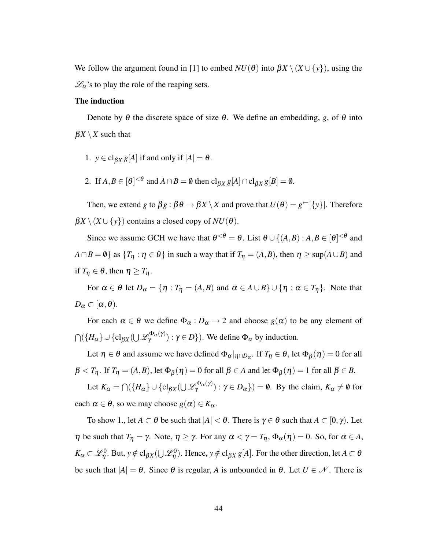<span id="page-43-0"></span>We follow the argument found in [\[1\]](#page-49-10) to embed  $NU(\theta)$  into  $\beta X \setminus (X \cup \{y\})$ , using the  $\mathcal{L}_{\alpha}$ 's to play the role of the reaping sets.

#### The induction

Denote by  $\theta$  the discrete space of size  $\theta$ . We define an embedding, *g*, of  $\theta$  into  $\beta X \setminus X$  such that

- 1.  $y \in \text{cl}_{\beta X} g[A]$  if and only if  $|A| = \theta$ .
- 2. If  $A, B \in [\theta]^{<\theta}$  and  $A \cap B = \emptyset$  then  $cl_{\beta X} g[A] \cap cl_{\beta X} g[B] = \emptyset$ .

Then, we extend *g* to  $\beta g : \beta \theta \to \beta X \setminus X$  and prove that  $U(\theta) = g^{\leftarrow}[\{y\}]$ . Therefore  $\beta X \setminus (X \cup \{y\})$  contains a closed copy of  $NU(\theta)$ .

Since we assume GCH we have that  $\theta^{<\theta} = \theta$ . List  $\theta \cup \{(A, B) : A, B \in [\theta]^{<\theta} \}$  and  $A \cap B = \emptyset$  as  $\{T_\eta : \eta \in \theta\}$  in such a way that if  $T_\eta = (A, B)$ , then  $\eta \ge \sup(A \cup B)$  and if  $T_\eta \in \theta$ , then  $\eta \geq T_\eta$ .

For  $\alpha \in \theta$  let  $D_{\alpha} = {\eta : T_{\eta} = (A, B) \text{ and } \alpha \in A \cup B} \cup {\eta : \alpha \in T_{\eta}}$ . Note that  $D_{\alpha} \subset [\alpha, \theta).$ 

For each  $\alpha \in \theta$  we define  $\Phi_{\alpha}: D_{\alpha} \to 2$  and choose  $g(\alpha)$  to be any element of  $\bigcap (\{H_\alpha\} \cup \{\text{cl}_{\beta X}(\bigcup \mathscr{L}^{\Phi_{\alpha}(\gamma)}_{\gamma}) : \gamma \in D\})$ . We define  $\Phi_\alpha$  by induction.

Let  $\eta \in \theta$  and assume we have defined  $\Phi_\alpha|_{\eta \cap D_\alpha}$ . If  $T_\eta \in \theta$ , let  $\Phi_\beta(\eta) = 0$  for all  $\beta < T_{\eta}$ . If  $T_{\eta} = (A,B)$ , let  $\Phi_{\beta}(\eta) = 0$  for all  $\beta \in A$  and let  $\Phi_{\beta}(\eta) = 1$  for all  $\beta \in B$ .

Let  $K_{\alpha} = \bigcap (\{H_{\alpha}\} \cup \{cl_{\beta X}(\bigcup \mathcal{L}_{\gamma}^{\Phi_{\alpha}(\gamma)}) : \gamma \in D_{\alpha}\}) = \emptyset$ . By the claim,  $K_{\alpha} \neq \emptyset$  for each  $\alpha \in \theta$ , so we may choose  $g(\alpha) \in K_{\alpha}$ .

To show 1., let  $A \subset \theta$  be such that  $|A| < \theta$ . There is  $\gamma \in \theta$  such that  $A \subset [0, \gamma)$ . Let *η* be such that  $T_\eta = \gamma$ . Note,  $\eta \ge \gamma$ . For any  $\alpha < \gamma = T_\eta$ ,  $\Phi_\alpha(\eta) = 0$ . So, for  $\alpha \in A$ ,  $K_{\alpha}\subset\mathscr{L}^{0}_{\eta}.$  But,  $y\notin\text{cl}_{\beta X}(\bigcup\mathscr{L}^{0}_{\eta}).$  Hence,  $y\notin\text{cl}_{\beta X}g[A].$  For the other direction, let  $A\subset\theta$ be such that  $|A| = \theta$ . Since  $\theta$  is regular, A is unbounded in  $\theta$ . Let  $U \in \mathcal{N}$ . There is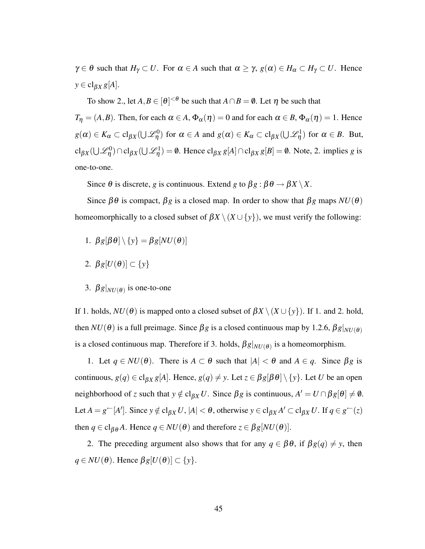$\gamma \in \theta$  such that  $H_{\gamma} \subset U$ . For  $\alpha \in A$  such that  $\alpha \geq \gamma$ ,  $g(\alpha) \in H_{\alpha} \subset H_{\gamma} \subset U$ . Hence  $y \in \text{cl}_{\beta X} g[A].$ 

To show 2., let  $A, B \in [\theta]^{<\theta}$  be such that  $A \cap B = \emptyset$ . Let  $\eta$  be such that

*T*<sub>η</sub> = (*A*,*B*). Then, for each  $\alpha \in A$ ,  $\Phi_{\alpha}(\eta) = 0$  and for each  $\alpha \in B$ ,  $\Phi_{\alpha}(\eta) = 1$ . Hence  $g(\alpha) \in K_{\alpha} \subset \text{cl}_{\beta X}(\bigcup \mathscr{L}_{\eta}^{0})$  for  $\alpha \in A$  and  $g(\alpha) \in K_{\alpha} \subset \text{cl}_{\beta X}(\bigcup \mathscr{L}_{\eta}^{1})$  for  $\alpha \in B$ . But,  $\text{cl}_{\beta X}(\bigcup \mathcal{L}_{\eta}^{0}) \cap \text{cl}_{\beta X}(\bigcup \mathcal{L}_{\eta}^{1}) = \emptyset$ . Hence  $\text{cl}_{\beta X} g[A] \cap \text{cl}_{\beta X} g[B] = \emptyset$ . Note, 2. implies *g* is one-to-one.

Since  $\theta$  is discrete, *g* is continuous. Extend *g* to  $\beta g : \beta \theta \rightarrow \beta X \setminus X$ .

Since  $\beta\theta$  is compact,  $\beta g$  is a closed map. In order to show that  $\beta g$  maps  $NU(\theta)$ homeomorphically to a closed subset of  $\beta X \setminus (X \cup \{y\})$ , we must verify the following:

- 1.  $\beta g[\beta \theta] \setminus \{y\} = \beta g[NU(\theta)]$
- 2.  $\beta g[U(\theta)] \subset \{y\}$
- 3.  $\beta g|_{NU(\theta)}$  is one-to-one

If 1. holds,  $NU(\theta)$  is mapped onto a closed subset of  $\beta X \setminus (X \cup \{y\})$ . If 1. and 2. hold, then  $NU(\theta)$  is a full preimage. Since  $\beta g$  is a closed continuous map by [1.2.6,](#page-9-1)  $\beta g|_{NU(\theta)}$ is a closed continuous map. Therefore if 3. holds,  $\beta g|_{NU(\theta)}$  is a homeomorphism.

1. Let  $q \in NU(\theta)$ . There is  $A \subset \theta$  such that  $|A| < \theta$  and  $A \in q$ . Since  $\beta g$  is continuous,  $g(q) \in \text{cl}_{\beta X} g[A]$ . Hence,  $g(q) \neq y$ . Let  $z \in \beta g[\beta \theta] \setminus \{y\}$ . Let *U* be an open neighborhood of *z* such that  $y \notin cl_{\beta X} U$ . Since  $\beta g$  is continuous,  $A' = U \cap \beta g[\theta] \neq \emptyset$ . Let  $A = g^{\leftarrow}[A']$ . Since  $y \notin \text{cl}_{\beta X} U$ ,  $|A| < \theta$ , otherwise  $y \in \text{cl}_{\beta X} A' \subset \text{cl}_{\beta X} U$ . If  $q \in g^{\leftarrow}(z)$ then  $q \in \text{cl}_{\beta\theta}A$ . Hence  $q \in NU(\theta)$  and therefore  $z \in \beta g[NU(\theta)].$ 

2. The preceding argument also shows that for any  $q \in \beta\theta$ , if  $\beta g(q) \neq y$ , then  $q \in NU(\theta)$ . Hence  $\beta g[U(\theta)] \subset \{y\}.$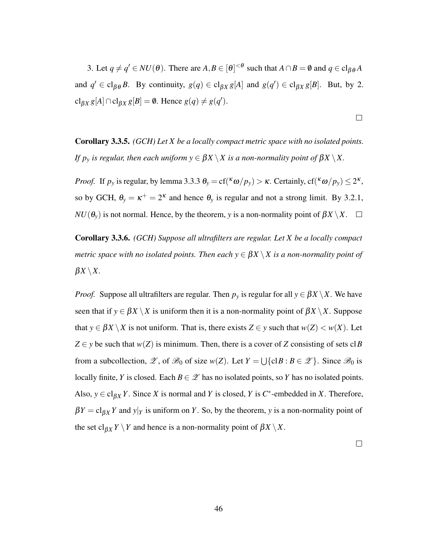3. Let  $q \neq q' \in NU(\theta)$ . There are  $A, B \in [\theta]^{<\theta}$  such that  $A \cap B = \emptyset$  and  $q \in \text{cl}_{\beta\theta}A$ and  $q' \in \text{cl}_{\beta\theta} B$ . By continuity,  $g(q) \in \text{cl}_{\beta X} g[A]$  and  $g(q') \in \text{cl}_{\beta X} g[B]$ . But, by 2.  $\text{cl}_{\beta X} g[A] \cap \text{cl}_{\beta X} g[B] = \emptyset$ . Hence  $g(q) \neq g(q')$ .

Corollary 3.3.5. *(GCH) Let X be a locally compact metric space with no isolated points. If p<sub>y</sub> is regular, then each uniform*  $y \in \beta X \setminus X$  *is a non-normality point of*  $\beta X \setminus X$ .

*Proof.* If  $p_y$  is regular, by lemma [3.3.3](#page-38-0)  $\theta_y = cf({\kappa \omega}/p_y) > \kappa$ . Certainly,  $cf({\kappa \omega}/p_y) \leq 2^{\kappa}$ , so by GCH,  $\theta_y = \kappa^+ = 2^{\kappa}$  and hence  $\theta_y$  is regular and not a strong limit. By [3.2.1,](#page-0-0)  $NU(\theta_v)$  is not normal. Hence, by the theorem, *y* is a non-normality point of  $\beta X \setminus X$ .  $\square$ 

<span id="page-45-0"></span>Corollary 3.3.6. *(GCH) Suppose all ultrafilters are regular. Let X be a locally compact metric space with no isolated points. Then each*  $y \in \beta X \setminus X$  *is a non-normality point of*  $\beta X \setminus X$ .

*Proof.* Suppose all ultrafilters are regular. Then  $p_y$  is regular for all  $y \in \beta X \setminus X$ . We have seen that if  $y \in \beta X \setminus X$  is uniform then it is a non-normality point of  $\beta X \setminus X$ . Suppose that  $y \in \beta X \setminus X$  is not uniform. That is, there exists  $Z \in y$  such that  $w(Z) \leq w(X)$ . Let  $Z \in y$  be such that  $w(Z)$  is minimum. Then, there is a cover of *Z* consisting of sets cl*B* from a subcollection,  $\mathscr{Z}$ , of  $\mathscr{B}_0$  of size  $w(Z)$ . Let  $Y = \bigcup \{ \text{cl} \, B : B \in \mathscr{Z} \}$ . Since  $\mathscr{B}_0$  is locally finite, *Y* is closed. Each  $B \in \mathscr{Z}$  has no isolated points, so *Y* has no isolated points. Also,  $y \in \text{cl}_{\beta X} Y$ . Since *X* is normal and *Y* is closed, *Y* is *C*<sup>\*</sup>-embedded in *X*. Therefore,  $\beta Y = c \log Y$  and  $y|_Y$  is uniform on *Y*. So, by the theorem, *y* is a non-normality point of the set cl<sub>β*X*</sub>  $Y \setminus Y$  and hence is a non-normality point of  $\beta X \setminus X$ .

 $\Box$ 

 $\Box$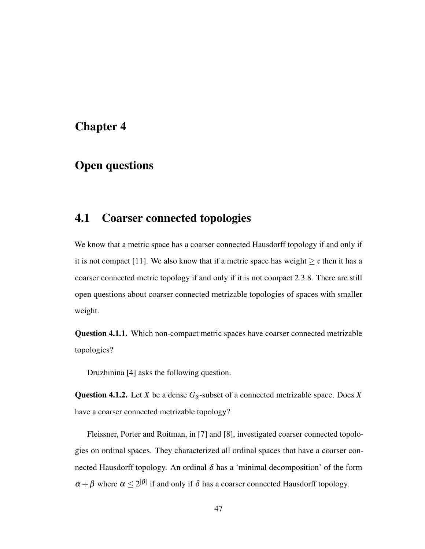### <span id="page-46-2"></span><span id="page-46-0"></span>Chapter 4

### Open questions

### <span id="page-46-1"></span>4.1 Coarser connected topologies

We know that a metric space has a coarser connected Hausdorff topology if and only if it is not compact [\[11\]](#page-49-3). We also know that if a metric space has weight  $\geq c$  then it has a coarser connected metric topology if and only if it is not compact [2.3.8.](#page-26-0) There are still open questions about coarser connected metrizable topologies of spaces with smaller weight.

Question 4.1.1. Which non-compact metric spaces have coarser connected metrizable topologies?

Druzhinina [\[4\]](#page-49-5) asks the following question.

**Question 4.1.2.** Let *X* be a dense  $G_{\delta}$ -subset of a connected metrizable space. Does *X* have a coarser connected metrizable topology?

Fleissner, Porter and Roitman, in [\[7\]](#page-49-4) and [\[8\]](#page-49-6), investigated coarser connected topologies on ordinal spaces. They characterized all ordinal spaces that have a coarser connected Hausdorff topology. An ordinal  $\delta$  has a 'minimal decomposition' of the form  $\alpha + \beta$  where  $\alpha \le 2^{|\beta|}$  if and only if  $\delta$  has a coarser connected Hausdorff topology.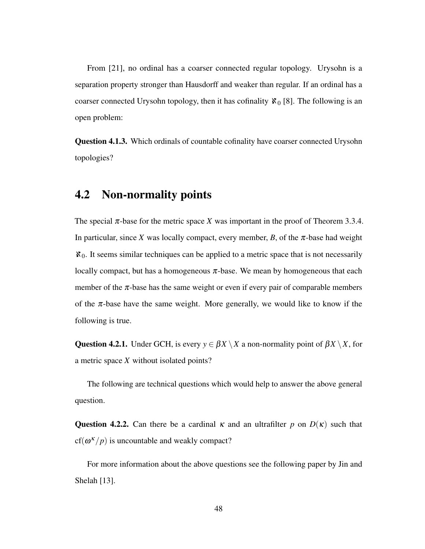<span id="page-47-1"></span>From [\[21\]](#page-50-1), no ordinal has a coarser connected regular topology. Urysohn is a separation property stronger than Hausdorff and weaker than regular. If an ordinal has a coarser connected Urysohn topology, then it has cofinality  $\aleph_0$  [\[8\]](#page-49-6). The following is an open problem:

Question 4.1.3. Which ordinals of countable cofinality have coarser connected Urysohn topologies?

### <span id="page-47-0"></span>4.2 Non-normality points

The special  $\pi$ -base for the metric space *X* was important in the proof of Theorem [3.3.4.](#page-39-0) In particular, since *X* was locally compact, every member, *B*, of the  $\pi$ -base had weight  $\aleph_0$ . It seems similar techniques can be applied to a metric space that is not necessarily locally compact, but has a homogeneous  $\pi$ -base. We mean by homogeneous that each member of the  $\pi$ -base has the same weight or even if every pair of comparable members of the  $\pi$ -base have the same weight. More generally, we would like to know if the following is true.

Question 4.2.1. Under GCH, is every  $y \in \beta X \setminus X$  a non-normality point of  $\beta X \setminus X$ , for a metric space *X* without isolated points?

The following are technical questions which would help to answer the above general question.

**Question 4.2.2.** Can there be a cardinal  $\kappa$  and an ultrafilter p on  $D(\kappa)$  such that  $cf(\omega^{\kappa}/p)$  is uncountable and weakly compact?

For more information about the above questions see the following paper by Jin and Shelah [\[13\]](#page-50-11).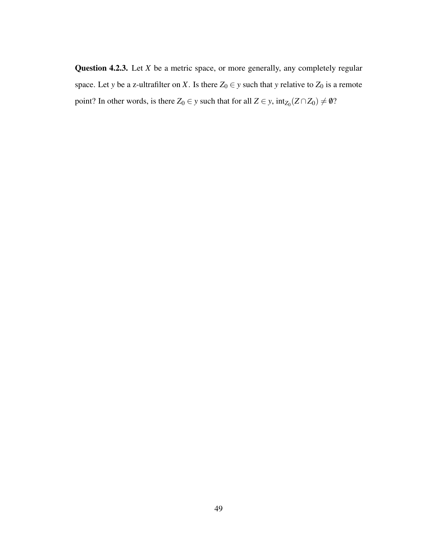<span id="page-48-0"></span>Question 4.2.3. Let *X* be a metric space, or more generally, any completely regular space. Let *y* be a z-ultrafilter on *X*. Is there  $Z_0 \in y$  such that *y* relative to  $Z_0$  is a remote point? In other words, is there  $Z_0 \in y$  such that for all  $Z \in y$ ,  $int_{Z_0}(Z \cap Z_0) \neq \emptyset$ ?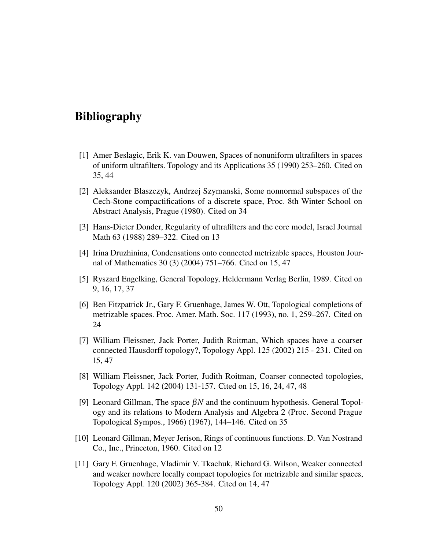### Bibliography

- <span id="page-49-10"></span>[1] Amer Beslagic, Erik K. van Douwen, Spaces of nonuniform ultrafilters in spaces of uniform ultrafilters. Topology and its Applications 35 (1990) 253–260. Cited on [35,](#page-34-0) [44](#page-43-0)
- <span id="page-49-8"></span>[2] Aleksander Blaszczyk, Andrzej Szymanski, Some nonnormal subspaces of the Cech-Stone compactifications of a discrete space, Proc. 8th Winter School on Abstract Analysis, Prague (1980). Cited on [34](#page-33-1)
- <span id="page-49-2"></span>[3] Hans-Dieter Donder, Regularity of ultrafilters and the core model, Israel Journal Math 63 (1988) 289–322. Cited on [13](#page-12-0)
- <span id="page-49-5"></span>[4] Irina Druzhinina, Condensations onto connected metrizable spaces, Houston Journal of Mathematics 30 (3) (2004) 751–766. Cited on [15,](#page-14-0) [47](#page-46-2)
- <span id="page-49-0"></span>[5] Ryszard Engelking, General Topology, Heldermann Verlag Berlin, 1989. Cited on [9,](#page-8-1) [16,](#page-15-1) [17,](#page-16-1) [37](#page-36-1)
- <span id="page-49-7"></span>[6] Ben Fitzpatrick Jr., Gary F. Gruenhage, James W. Ott, Topological completions of metrizable spaces. Proc. Amer. Math. Soc. 117 (1993), no. 1, 259–267. Cited on [24](#page-23-2)
- <span id="page-49-4"></span>[7] William Fleissner, Jack Porter, Judith Roitman, Which spaces have a coarser connected Hausdorff topology?, Topology Appl. 125 (2002) 215 - 231. Cited on [15,](#page-14-0) [47](#page-46-2)
- <span id="page-49-6"></span>[8] William Fleissner, Jack Porter, Judith Roitman, Coarser connected topologies, Topology Appl. 142 (2004) 131-157. Cited on [15,](#page-14-0) [16,](#page-15-1) [24,](#page-23-2) [47,](#page-46-2) [48](#page-47-1)
- <span id="page-49-9"></span>[9] Leonard Gillman, The space β*N* and the continuum hypothesis. General Topology and its relations to Modern Analysis and Algebra 2 (Proc. Second Prague Topological Sympos., 1966) (1967), 144–146. Cited on [35](#page-34-0)
- <span id="page-49-1"></span>[10] Leonard Gillman, Meyer Jerison, Rings of continuous functions. D. Van Nostrand Co., Inc., Princeton, 1960. Cited on [12](#page-11-1)
- <span id="page-49-3"></span>[11] Gary F. Gruenhage, Vladimir V. Tkachuk, Richard G. Wilson, Weaker connected and weaker nowhere locally compact topologies for metrizable and similar spaces, Topology Appl. 120 (2002) 365-384. Cited on [14,](#page-13-2) [47](#page-46-2)